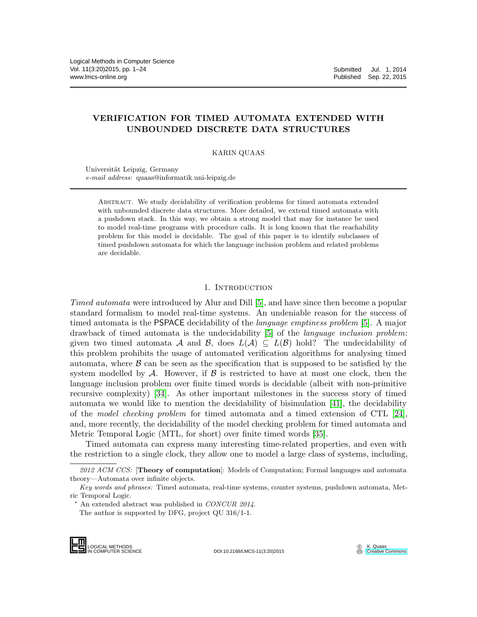# VERIFICATION FOR TIMED AUTOMATA EXTENDED WITH UNBOUNDED DISCRETE DATA STRUCTURES

KARIN QUAAS

Universität Leipzig, Germany *e-mail address*: quaas@informatik.uni-leipzig.de

Abstract. We study decidability of verification problems for timed automata extended with unbounded discrete data structures. More detailed, we extend timed automata with a pushdown stack. In this way, we obtain a strong model that may for instance be used to model real-time programs with procedure calls. It is long known that the reachability problem for this model is decidable. The goal of this paper is to identify subclasses of timed pushdown automata for which the language inclusion problem and related problems are decidable.

## 1. INTRODUCTION

*Timed automata* were introduced by Alur and Dill [\[5\]](#page-21-0), and have since then become a popular standard formalism to model real-time systems. An undeniable reason for the success of timed automata is the PSPACE decidability of the *language emptiness problem* [\[5\]](#page-21-0). A major drawback of timed automata is the undecidability [\[5\]](#page-21-0) of the *language inclusion problem*: given two timed automata A and B, does  $L(\mathcal{A}) \subseteq L(\mathcal{B})$  hold? The undecidability of this problem prohibits the usage of automated verification algorithms for analysing timed automata, where  $\beta$  can be seen as the specification that is supposed to be satisfied by the system modelled by A. However, if  $\beta$  is restricted to have at most one clock, then the language inclusion problem over finite timed words is decidable (albeit with non-primitive recursive complexity) [\[34\]](#page-22-0). As other important milestones in the success story of timed automata we would like to mention the decidability of bisimulation [\[41\]](#page-23-0), the decidability of the *model checking problem* for timed automata and a timed extension of CTL [\[24\]](#page-22-1), and, more recently, the decidability of the model checking problem for timed automata and Metric Temporal Logic (MTL, for short) over finite timed words [\[35\]](#page-22-2).

Timed automata can express many interesting time-related properties, and even with the restriction to a single clock, they allow one to model a large class of systems, including,

LOGICAL METHODS<br>IN COMPUTER SCIENCE

DOI:10.2168/LMCS-11(3:20)2015

<sup>2012</sup> ACM CCS: [Theory of computation]: Models of Computation; Formal languages and automata theory—Automata over infinite objects.

*Key words and phrases:* Timed automata, real-time systems, counter systems, pushdown automata, Metric Temporal Logic.

<sup>∗</sup> An extended abstract was published in *CONCUR 2014*.

The author is supported by DFG, project QU 316/1-1.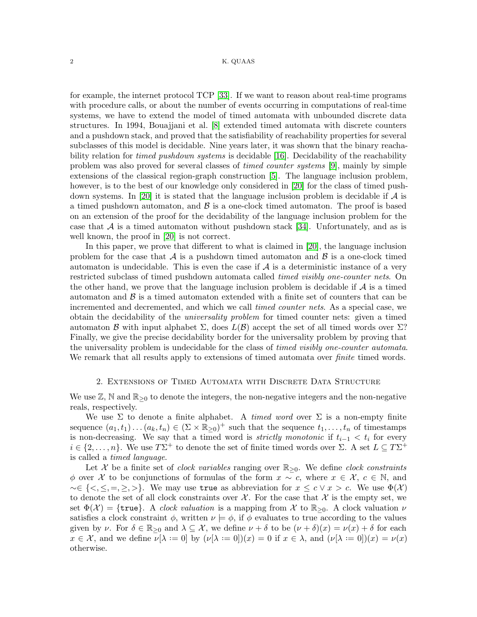for example, the internet protocol TCP [\[33\]](#page-22-3). If we want to reason about real-time programs with procedure calls, or about the number of events occurring in computations of real-time systems, we have to extend the model of timed automata with unbounded discrete data structures. In 1994, Bouajjani et al. [\[8\]](#page-21-1) extended timed automata with discrete counters and a pushdown stack, and proved that the satisfiability of reachability properties for several subclasses of this model is decidable. Nine years later, it was shown that the binary reachability relation for *timed pushdown systems* is decidable [\[16\]](#page-22-4). Decidability of the reachability problem was also proved for several classes of *timed counter systems* [\[9\]](#page-21-2), mainly by simple extensions of the classical region-graph construction [\[5\]](#page-21-0). The language inclusion problem, however, is to the best of our knowledge only considered in [\[20\]](#page-22-5) for the class of timed push-down systems. In [\[20\]](#page-22-5) it is stated that the language inclusion problem is decidable if  $\mathcal A$  is a timed pushdown automaton, and  $\beta$  is a one-clock timed automaton. The proof is based on an extension of the proof for the decidability of the language inclusion problem for the case that  $A$  is a timed automaton without pushdown stack [\[34\]](#page-22-0). Unfortunately, and as is well known, the proof in [\[20\]](#page-22-5) is not correct.

In this paper, we prove that different to what is claimed in [\[20\]](#page-22-5), the language inclusion problem for the case that  $\mathcal A$  is a pushdown timed automaton and  $\mathcal B$  is a one-clock timed automaton is undecidable. This is even the case if  $A$  is a deterministic instance of a very restricted subclass of timed pushdown automata called *timed visibly one-counter nets*. On the other hand, we prove that the language inclusion problem is decidable if  $\mathcal A$  is a timed automaton and  $\beta$  is a timed automaton extended with a finite set of counters that can be incremented and decremented, and which we call *timed counter nets*. As a special case, we obtain the decidability of the *universality problem* for timed counter nets: given a timed automaton B with input alphabet  $\Sigma$ , does  $L(\mathcal{B})$  accept the set of all timed words over  $\Sigma$ ? Finally, we give the precise decidability border for the universality problem by proving that the universality problem is undecidable for the class of *timed visibly one-counter automata*. We remark that all results apply to extensions of timed automata over *finite* timed words.

#### 2. Extensions of Timed Automata with Discrete Data Structure

We use  $\mathbb{Z}, \mathbb{N}$  and  $\mathbb{R}_{\geq 0}$  to denote the integers, the non-negative integers and the non-negative reals, respectively.

We use  $\Sigma$  to denote a finite alphabet. A *timed word* over  $\Sigma$  is a non-empty finite sequence  $(a_1, t_1) \dots (a_k, t_n) \in (\Sigma \times \mathbb{R}_{\geq 0})^+$  such that the sequence  $t_1, \dots, t_n$  of timestamps is non-decreasing. We say that a timed word is *strictly monotonic* if  $t_{i-1} < t_i$  for every  $i \in \{2,\ldots,n\}$ . We use  $T\Sigma^+$  to denote the set of finite timed words over  $\Sigma$ . A set  $L \subseteq T\Sigma^+$ is called a *timed language*.

Let X be a finite set of *clock variables* ranging over R≥0. We define *clock constraints*  $\phi$  over X to be conjunctions of formulas of the form  $x \sim c$ , where  $x \in \mathcal{X}, c \in \mathbb{N}$ , and  $\sim \in \{<,\leq,=,\geq,\geq\}$ . We may use true as abbreviation for  $x \leq c \vee x > c$ . We use  $\Phi(\mathcal{X})$ to denote the set of all clock constraints over  $\mathcal{X}$ . For the case that  $\mathcal{X}$  is the empty set, we set  $\Phi(\mathcal{X}) = \{\text{true}\}\$ . A *clock valuation* is a mapping from X to  $\mathbb{R}_{\geq 0}$ . A clock valuation  $\nu$ satisfies a clock constraint  $\phi$ , written  $\nu \models \phi$ , if  $\phi$  evaluates to true according to the values given by  $\nu$ . For  $\delta \in \mathbb{R}_{\geq 0}$  and  $\lambda \subseteq \mathcal{X}$ , we define  $\nu + \delta$  to be  $(\nu + \delta)(x) = \nu(x) + \delta$  for each  $x \in \mathcal{X}$ , and we define  $\nu[\lambda := 0]$  by  $(\nu[\lambda := 0])(x) = 0$  if  $x \in \lambda$ , and  $(\nu[\lambda := 0])(x) = \nu(x)$ otherwise.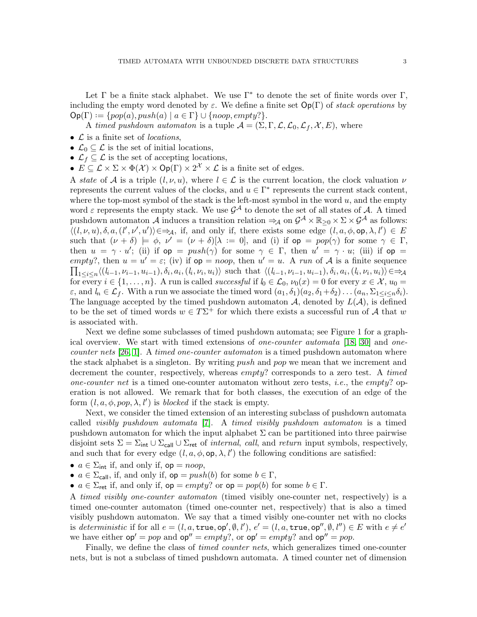Let  $\Gamma$  be a finite stack alphabet. We use  $\Gamma^*$  to denote the set of finite words over  $\Gamma$ , including the empty word denoted by  $\varepsilon$ . We define a finite set  $Op(\Gamma)$  of *stack operations* by  $\mathsf{Op}(\Gamma) := \{pop(a), push(a) \mid a \in \Gamma\} \cup \{noop, empty?\}.$ 

A *timed pushdown automaton* is a tuple  $A = (\Sigma, \Gamma, \mathcal{L}, \mathcal{L}_0, \mathcal{L}_f, \mathcal{X}, E)$ , where

- L is a finite set of *locations*,
- $\mathcal{L}_0 \subseteq \mathcal{L}$  is the set of initial locations,
- $\mathcal{L}_f \subseteq \mathcal{L}$  is the set of accepting locations,
- $E \subseteq \mathcal{L} \times \Sigma \times \Phi(\mathcal{X}) \times \mathsf{Op}(\Gamma) \times 2^{\mathcal{X}} \times \mathcal{L}$  is a finite set of edges.

A *state* of A is a triple  $(l, \nu, u)$ , where  $l \in \mathcal{L}$  is the current location, the clock valuation  $\nu$ represents the current values of the clocks, and  $u \in \Gamma^*$  represents the current stack content, where the top-most symbol of the stack is the left-most symbol in the word  $u$ , and the empty word  $\varepsilon$  represents the empty stack. We use  $\mathcal{G}^{\mathcal{A}}$  to denote the set of all states of  $\mathcal{A}$ . A timed pushdown automaton A induces a transition relation  $\Rightarrow_{\mathcal{A}}$  on  $\mathcal{G}^{\mathcal{A}} \times \mathbb{R}_{\geq 0} \times \Sigma \times \mathcal{G}^{\mathcal{A}}$  as follows:  $\langle (l, \nu, u), \delta, a, (l', \nu', u') \rangle \in \Rightarrow_{\mathcal{A}}$ , if, and only if, there exists some edge  $(l, a, \phi, \text{op}, \lambda, l') \in E$ such that  $(\nu + \delta) \models \phi$ ,  $\nu' = (\nu + \delta)[\lambda := 0]$ , and (i) if  $op = pop(\gamma)$  for some  $\gamma \in \Gamma$ , then  $u = \gamma \cdot u'$ ; (ii) if  $op = push(\gamma)$  for some  $\gamma \in \Gamma$ , then  $u' = \gamma \cdot u$ ; (iii) if  $op =$ empty?, then  $u = u' = \varepsilon$ ; (iv) if  $op = noop$ , then  $u' = u$ . A run of A is a finite sequence  $\prod_{1 \leq i \leq n} \langle (l_{i-1}, \nu_{i-1}, u_{i-1}), \delta_i, a_i, (l_i, \nu_i, u_i) \rangle$  such that  $\langle (l_{i-1}, \nu_{i-1}, u_{i-1}), \delta_i, a_i, (l_i, \nu_i, u_i) \rangle \in \Rightarrow_{\mathcal{A}}$ for every  $i \in \{1, \ldots, n\}$ . A run is called *successful* if  $l_0 \in \mathcal{L}_0$ ,  $\nu_0(x) = 0$  for every  $x \in \mathcal{X}$ ,  $u_0 =$  $\varepsilon$ , and  $l_n \in \mathcal{L}_f$ . With a run we associate the timed word  $(a_1, \delta_1)(a_2, \delta_1+\delta_2)\dots(a_n, \Sigma_{1\leq i\leq n}\delta_i)$ . The language accepted by the timed pushdown automaton  $A$ , denoted by  $L(A)$ , is defined to be the set of timed words  $w \in T\Sigma^+$  for which there exists a successful run of A that w is associated with.

Next we define some subclasses of timed pushdown automata; see Figure 1 for a graphical overview. We start with timed extensions of *one-counter automata* [\[18,](#page-22-6) [30\]](#page-22-7) and *onecounter nets* [\[26,](#page-22-8) [1\]](#page-21-3). A *timed one-counter automaton* is a timed pushdown automaton where the stack alphabet is a singleton. By writing *push* and *pop* we mean that we increment and decrement the counter, respectively, whereas empty? corresponds to a zero test. A *timed one-counter net* is a timed one-counter automaton without zero tests, *i.e.*, the empty? operation is not allowed. We remark that for both classes, the execution of an edge of the form  $(l, a, \phi, pop, \lambda, l')$  is *blocked* if the stack is empty.

Next, we consider the timed extension of an interesting subclass of pushdown automata called *visibly pushdown automata* [\[7\]](#page-21-4). A *timed visibly pushdown automaton* is a timed pushdown automaton for which the input alphabet  $\Sigma$  can be partitioned into three pairwise disjoint sets  $\Sigma = \Sigma_{int} \cup \Sigma_{rel}$   $\cup$   $\Sigma_{ret}$  of *internal, call,* and *return* input symbols, respectively, and such that for every edge  $(l, a, \phi, \text{op}, \lambda, l')$  the following conditions are satisfied:

- $a \in \Sigma_{\text{int}}$  if, and only if,  $op = noop$ ,
- $a \in \Sigma_{\text{call}}$ , if, and only if,  $op = push(b)$  for some  $b \in \Gamma$ ,
- $a \in \Sigma_{\text{ret}}$  if, and only if,  $op = empty$ ? or  $op = pop(b)$  for some  $b \in \Gamma$ .

A *timed visibly one-counter automaton* (timed visibly one-counter net, respectively) is a timed one-counter automaton (timed one-counter net, respectively) that is also a timed visibly pushdown automaton. We say that a timed visibly one-counter net with no clocks is *deterministic* if for all  $e = (l, a, \text{true}, \text{op}', \emptyset, l'), e' = (l, a, \text{true}, \text{op}'', \emptyset, l'') \in E$  with  $e \neq e'$ we have either  $op' = pop$  and  $op'' = empty$ ?, or  $op' = empty$ ? and  $op'' = pop$ .

Finally, we define the class of *timed counter nets*, which generalizes timed one-counter nets, but is not a subclass of timed pushdown automata. A timed counter net of dimension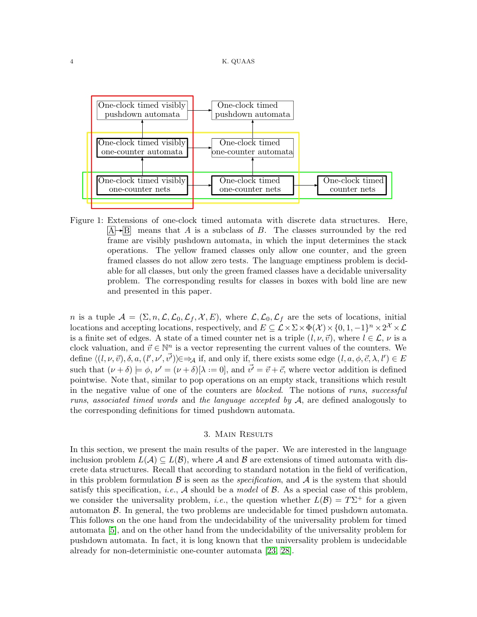

<span id="page-3-0"></span> $A \rightarrow B$  means that A is a subclass of B. The classes surrounded by the red Figure 1: Extensions of one-clock timed automata with discrete data structures. Here, frame are visibly pushdown automata, in which the input determines the stack operations. The yellow framed classes only allow one counter, and the green framed classes do not allow zero tests. The language emptiness problem is decidable for all classes, but only the green framed classes have a decidable universality problem. The corresponding results for classes in boxes with bold line are new and presented in this paper.

n is a tuple  $A = (\Sigma, n, \mathcal{L}, \mathcal{L}_0, \mathcal{L}_f, \mathcal{X}, E)$ , where  $\mathcal{L}, \mathcal{L}_0, \mathcal{L}_f$  are the sets of locations, initial locations and accepting locations, respectively, and  $E \subseteq \mathcal{L} \times \Sigma \times \Phi(\mathcal{X}) \times \{0, 1, -1\}^n \times 2^{\mathcal{X}} \times \mathcal{L}$ is a finite set of edges. A state of a timed counter net is a triple  $(l, \nu, \vec{v})$ , where  $l \in \mathcal{L}$ ,  $\nu$  is a clock valuation, and  $\vec{v} \in \mathbb{N}^n$  is a vector representing the current values of the counters. We define  $\langle (l, \nu, \vec{v}), \delta, a, (l', \nu', \vec{v'}) \rangle \in \Rightarrow_{\mathcal{A}}$  if, and only if, there exists some edge  $(l, a, \phi, \vec{c}, \lambda, l') \in E$ such that  $(\nu + \delta) \models \phi, \nu' = (\nu + \delta)[\lambda := 0]$ , and  $\vec{\nu'} = \vec{\nu} + \vec{c}$ , where vector addition is defined pointwise. Note that, similar to pop operations on an empty stack, transitions which result in the negative value of one of the counters are *blocked*. The notions of *runs*, *successful runs*, *associated timed words* and *the language accepted by* A, are defined analogously to the corresponding definitions for timed pushdown automata.

## 3. Main Results

In this section, we present the main results of the paper. We are interested in the language inclusion problem  $L(\mathcal{A}) \subseteq L(\mathcal{B})$ , where  $\mathcal A$  and  $\mathcal B$  are extensions of timed automata with discrete data structures. Recall that according to standard notation in the field of verification, in this problem formulation  $\beta$  is seen as the *specification*, and  $\mathcal A$  is the system that should satisfy this specification, *i.e.*,  $A$  should be a *model* of  $B$ . As a special case of this problem, we consider the universality problem, *i.e.*, the question whether  $L(\mathcal{B}) = T\Sigma^+$  for a given automaton  $\beta$ . In general, the two problems are undecidable for timed pushdown automata. This follows on the one hand from the undecidability of the universality problem for timed automata [\[5\]](#page-21-0), and on the other hand from the undecidability of the universality problem for pushdown automata. In fact, it is long known that the universality problem is undecidable already for non-deterministic one-counter automata [\[23,](#page-22-9) [28\]](#page-22-10).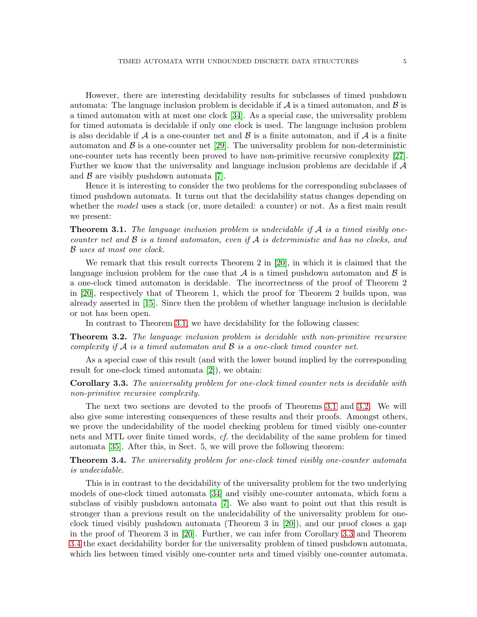However, there are interesting decidability results for subclasses of timed pushdown automata: The language inclusion problem is decidable if  $A$  is a timed automaton, and  $\beta$  is a timed automaton with at most one clock [\[34\]](#page-22-0). As a special case, the universality problem for timed automata is decidable if only one clock is used. The language inclusion problem is also decidable if A is a one-counter net and  $\beta$  is a finite automaton, and if A is a finite automaton and  $\beta$  is a one-counter net [\[29\]](#page-22-11). The universality problem for non-deterministic one-counter nets has recently been proved to have non-primitive recursive complexity [\[27\]](#page-22-12). Further we know that the universality and language inclusion problems are decidable if  $\mathcal A$ and  $\beta$  are visibly pushdown automata [\[7\]](#page-21-4).

Hence it is interesting to consider the two problems for the corresponding subclasses of timed pushdown automata. It turns out that the decidability status changes depending on whether the *model* uses a stack (or, more detailed: a counter) or not. As a first main result we present:

<span id="page-4-0"></span>Theorem 3.1. *The language inclusion problem is undecidable if* A *is a timed visibly onecounter net and* B *is a timed automaton, even if* A *is deterministic and has no clocks, and* B *uses at most one clock.*

We remark that this result corrects Theorem 2 in [\[20\]](#page-22-5), in which it is claimed that the language inclusion problem for the case that A is a timed pushdown automaton and  $\beta$  is a one-clock timed automaton is decidable. The incorrectness of the proof of Theorem 2 in [\[20\]](#page-22-5), respectively that of Theorem 1, which the proof for Theorem 2 builds upon, was already asserted in [\[15\]](#page-22-13). Since then the problem of whether language inclusion is decidable or not has been open.

In contrast to Theorem [3.1,](#page-4-0) we have decidability for the following classes:

<span id="page-4-1"></span>Theorem 3.2. *The language inclusion problem is decidable with non-primitive recursive complexity if* A *is a timed automaton and* B *is a one-clock timed counter net.*

As a special case of this result (and with the lower bound implied by the corresponding result for one-clock timed automata [\[2\]](#page-21-5)), we obtain:

<span id="page-4-2"></span>Corollary 3.3. *The universality problem for one-clock timed counter nets is decidable with non-primitive recursive complexity.*

The next two sections are devoted to the proofs of Theorems [3.1](#page-4-0) and [3.2.](#page-4-1) We will also give some interesting consequences of these results and their proofs. Amongst others, we prove the undecidability of the model checking problem for timed visibly one-counter nets and MTL over finite timed words, *cf.* the decidability of the same problem for timed automata [\[35\]](#page-22-2). After this, in Sect. 5, we will prove the following theorem:

<span id="page-4-3"></span>Theorem 3.4. *The universality problem for one-clock timed visibly one-counter automata is undecidable.*

This is in contrast to the decidability of the universality problem for the two underlying models of one-clock timed automata [\[34\]](#page-22-0) and visibly one-counter automata, which form a subclass of visibly pushdown automata [\[7\]](#page-21-4). We also want to point out that this result is stronger than a previous result on the undecidability of the universality problem for oneclock timed visibly pushdown automata (Theorem 3 in [\[20\]](#page-22-5)), and our proof closes a gap in the proof of Theorem 3 in [\[20\]](#page-22-5). Further, we can infer from Corollary [3.3](#page-4-2) and Theorem [3.4](#page-4-3) the exact decidability border for the universality problem of timed pushdown automata, which lies between timed visibly one-counter nets and timed visibly one-counter automata.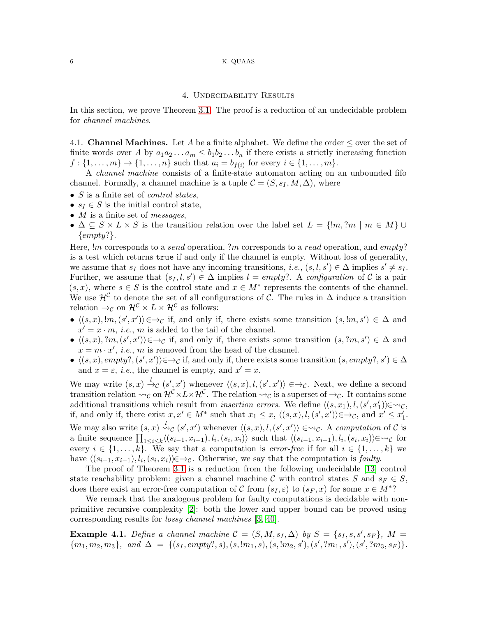#### 6 K. QUAAS

### 4. Undecidability Results

In this section, we prove Theorem [3.1.](#page-4-0) The proof is a reduction of an undecidable problem for *channel machines*.

4.1. **Channel Machines.** Let A be a finite alphabet. We define the order  $\leq$  over the set of finite words over A by  $a_1a_2...a_m \leq b_1b_2...b_n$  if there exists a strictly increasing function  $f: \{1, ..., m\} \to \{1, ..., n\}$  such that  $a_i = b_{f(i)}$  for every  $i \in \{1, ..., m\}$ .

A *channel machine* consists of a finite-state automaton acting on an unbounded fifo channel. Formally, a channel machine is a tuple  $\mathcal{C} = (S, s_I, M, \Delta)$ , where

- S is a finite set of *control states*,
- $s_I \in S$  is the initial control state,
- M is a finite set of *messages*,
- $\Delta \subseteq S \times L \times S$  is the transition relation over the label set  $L = \{m, ?m \mid m \in M\} \cup$  ${empty?}.$

Here,  $\ell m$  corresponds to a *send* operation, ?m corresponds to a read operation, and empty? is a test which returns true if and only if the channel is empty. Without loss of generality, we assume that  $s_I$  does not have any incoming transitions, *i.e.*,  $(s, l, s') \in \Delta$  implies  $s' \neq s_I$ . Further, we assume that  $(s_I, l, s') \in \Delta$  implies  $l = empty$ ?. A *configuration* of C is a pair  $(s, x)$ , where  $s \in S$  is the control state and  $x \in M^*$  represents the contents of the channel. We use  $\mathcal{H}^{\mathcal{C}}$  to denote the set of all configurations of  $\mathcal{C}$ . The rules in  $\Delta$  induce a transition relation  $\rightarrow_C$  on  $\mathcal{H}^C \times L \times \mathcal{H}^C$  as follows:

- $\langle (s, x), !m, (s', x') \rangle \in \rightarrow_{\mathcal{C}}$  if, and only if, there exists some transition  $(s, !m, s') \in \Delta$  and  $x' = x \cdot m$ , *i.e.*, *m* is added to the tail of the channel.
- $\langle (s, x), ?m, (s', x') \rangle \in \rightarrow_{\mathcal{C}}$  if, and only if, there exists some transition  $(s, ?m, s') \in \Delta$  and  $x = m \cdot x'$ , *i.e.*, *m* is removed from the head of the channel.
- $\langle (s, x), empty?, (s', x') \rangle \in \rightarrow_{\mathcal{C}}$  if, and only if, there exists some transition  $(s, empty?, s') \in \Delta$ and  $x = \varepsilon$ , *i.e.*, the channel is empty, and  $x' = x$ .

We may write  $(s, x) \stackrel{l}{\rightarrow} c (s', x')$  whenever  $\langle (s, x), l, (s', x') \rangle \in \rightarrow_c$ . Next, we define a second transition relation  $\leadsto_{\mathcal{C}}$  on  $\mathcal{H}^{\mathcal{C}} \times L \times \mathcal{H}^{\mathcal{C}}$ . The relation  $\leadsto_{\mathcal{C}}$  is a superset of  $\to_{\mathcal{C}}$ . It contains some additional transitions which result from *insertion errors*. We define  $\langle (s, x_1), l, (s', x'_1) \rangle \in \leadsto_{\mathcal{C}}$ , if, and only if, there exist  $x, x' \in M^*$  such that  $x_1 \leq x$ ,  $\langle (s, x), l, (s', x') \rangle \in \rightarrow_c$ , and  $x' \leq x'_1$ . We may also write  $(s, x) \stackrel{l}{\leadsto}{}_{\mathcal{C}}(s', x')$  whenever  $\langle (s, x), l, (s', x') \rangle \in \leadsto_{\mathcal{C}}$ . A *computation* of  $\mathcal{C}$  is a finite sequence  $\prod_{1 \leq i \leq k} \langle (s_{i-1}, x_{i-1}), l_i, (s_i, x_i) \rangle$  such that  $\langle (s_{i-1}, x_{i-1}), l_i, (s_i, x_i) \rangle \in \leadsto_{\mathcal{C}}$  for every  $i \in \{1, \ldots, k\}$ . We say that a computation is *error-free* if for all  $i \in \{1, \ldots, k\}$  we have  $\langle (s_{i-1}, x_{i-1}), l_i, (s_i, x_i) \rangle \in \rightarrow_c$ . Otherwise, we say that the computation is *faulty*.

The proof of Theorem [3.1](#page-4-0) is a reduction from the following undecidable [\[13\]](#page-22-14) control state reachability problem: given a channel machine C with control states S and  $s_F \in S$ , does there exist an error-free computation of C from  $(s_I, \varepsilon)$  to  $(s_F, x)$  for some  $x \in M^*$ ?

We remark that the analogous problem for faulty computations is decidable with nonprimitive recursive complexity [\[2\]](#page-21-5): both the lower and upper bound can be proved using corresponding results for *lossy channel machines* [\[3,](#page-21-6) [40\]](#page-23-1).

<span id="page-5-0"></span>**Example 4.1.** *Define a channel machine*  $C = (S, M, s_I, \Delta)$  *by*  $S = \{s_I, s, s', s_F\}$ *,*  $M =$  ${m_1, m_2, m_3}, \text{ and } \Delta = \{(s_1, empty?, s), (s, !m_1, s), (s, !m_2, s'), (s', ?m_1, s'), (s', ?m_3, s_F)\}.$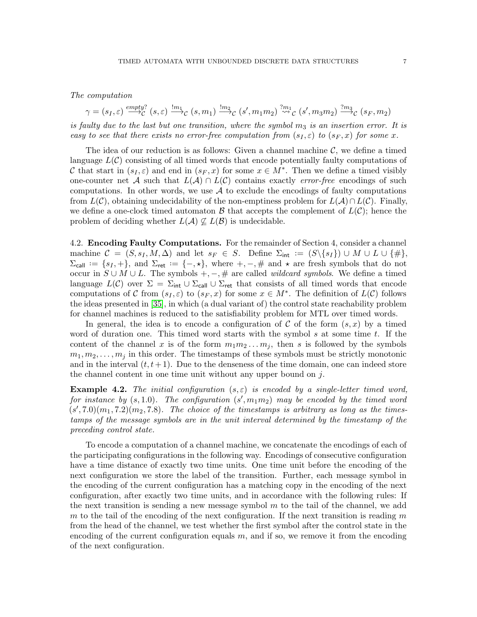*The computation*

 $\gamma = (s_I, \varepsilon) \stackrel{empty?}{\longrightarrow} \mathcal{C} (s, \varepsilon) \stackrel{!m_1} {\longrightarrow} \mathcal{C} (s, m_1) \stackrel{!m_2} {\longrightarrow} \mathcal{C} (s', m_1 m_2) \stackrel{?m_1} {\leadsto} \mathcal{C} (s', m_3 m_2) \stackrel{?m_3} {\longrightarrow} \mathcal{C} (s_F, m_2)$ 

*is faulty due to the last but one transition, where the symbol m<sub>3</sub> is an insertion error. It is easy to see that there exists no error-free computation from*  $(s_I, \varepsilon)$  *to*  $(s_F, x)$  *for some x.* 

The idea of our reduction is as follows: Given a channel machine  $\mathcal{C}$ , we define a timed language  $L(\mathcal{C})$  consisting of all timed words that encode potentially faulty computations of C that start in  $(s_I, \varepsilon)$  and end in  $(s_F, x)$  for some  $x \in M^*$ . Then we define a timed visibly one-counter net A such that  $L(\mathcal{A}) \cap L(\mathcal{C})$  contains exactly *error-free* encodings of such computations. In other words, we use  $A$  to exclude the encodings of faulty computations from  $L(\mathcal{C})$ , obtaining undecidability of the non-emptiness problem for  $L(\mathcal{A}) \cap L(\mathcal{C})$ . Finally, we define a one-clock timed automaton  $\mathcal{B}$  that accepts the complement of  $L(\mathcal{C})$ ; hence the problem of deciding whether  $L(\mathcal{A}) \nsubseteq L(\mathcal{B})$  is undecidable.

4.2. Encoding Faulty Computations. For the remainder of Section 4, consider a channel machine  $C = (S, s_I, M, \Delta)$  and let  $s_F \in S$ . Define  $\Sigma_{\text{int}} := (S \setminus \{s_I\}) \cup M \cup L \cup \{\#\},$  $\Sigma_{\text{call}} := \{s_I, +\},\$  and  $\Sigma_{\text{ret}} := \{-, \star\},\$  where  $+,-, \#$  and  $\star$  are fresh symbols that do not occur in  $S \cup M \cup L$ . The symbols  $+, -, \#$  are called *wildcard symbols*. We define a timed language  $L(\mathcal{C})$  over  $\Sigma = \Sigma_{int} \cup \Sigma_{cell} \cup \Sigma_{ret}$  that consists of all timed words that encode computations of C from  $(s_I, \varepsilon)$  to  $(s_F, x)$  for some  $x \in M^*$ . The definition of  $L(\mathcal{C})$  follows the ideas presented in [\[35\]](#page-22-2), in which (a dual variant of) the control state reachability problem for channel machines is reduced to the satisfiability problem for MTL over timed words.

In general, the idea is to encode a configuration of C of the form  $(s, x)$  by a timed word of duration one. This timed word starts with the symbol  $s$  at some time  $t$ . If the content of the channel x is of the form  $m_1m_2...m_i$ , then s is followed by the symbols  $m_1, m_2, \ldots, m_j$  in this order. The timestamps of these symbols must be strictly monotonic and in the interval  $(t, t+1)$ . Due to the denseness of the time domain, one can indeed store the channel content in one time unit without any upper bound on j.

**Example 4.2.** *The initial configuration*  $(s, \varepsilon)$  *is encoded by a single-letter timed word,*  $for$  instance by  $(s, 1.0)$ . The configuration  $(s', m_1 m_2)$  may be encoded by the timed word  $(s', 7.0)(m_1, 7.2)(m_2, 7.8)$ *. The choice of the timestamps is arbitrary as long as the timestamps of the message symbols are in the unit interval determined by the timestamp of the preceding control state.*

To encode a computation of a channel machine, we concatenate the encodings of each of the participating configurations in the following way. Encodings of consecutive configuration have a time distance of exactly two time units. One time unit before the encoding of the next configuration we store the label of the transition. Further, each message symbol in the encoding of the current configuration has a matching copy in the encoding of the next configuration, after exactly two time units, and in accordance with the following rules: If the next transition is sending a new message symbol  $m$  to the tail of the channel, we add m to the tail of the encoding of the next configuration. If the next transition is reading m from the head of the channel, we test whether the first symbol after the control state in the encoding of the current configuration equals  $m$ , and if so, we remove it from the encoding of the next configuration.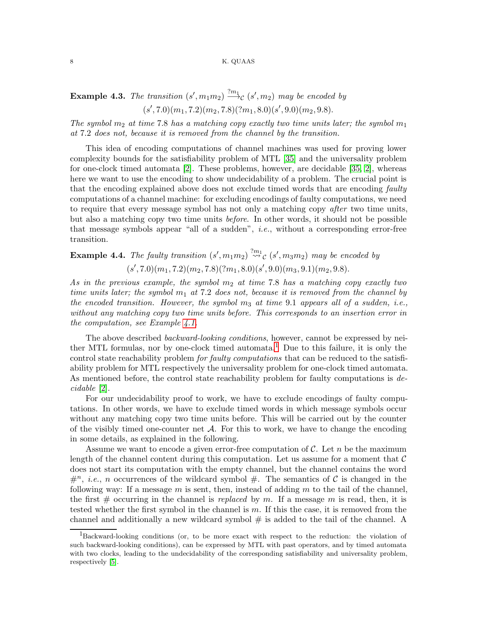#### 8 K. QUAAS

**Example 4.3.** The transition  $(s', m_1m_2) \stackrel{?m_1}{\longrightarrow} c(s', m_2)$  may be encoded by  $(s', 7.0)(m_1, 7.2)(m_2, 7.8)(?m_1, 8.0)(s', 9.0)(m_2, 9.8).$ 

*The symbol*  $m_2$  *at time* 7.8 *has a matching copy exactly two time units later; the symbol*  $m_1$ *at* 7.2 *does not, because it is removed from the channel by the transition.*

This idea of encoding computations of channel machines was used for proving lower complexity bounds for the satisfiability problem of MTL [\[35\]](#page-22-2) and the universality problem for one-clock timed automata [\[2\]](#page-21-5). These problems, however, are decidable [\[35,](#page-22-2) [2\]](#page-21-5), whereas here we want to use the encoding to show undecidability of a problem. The crucial point is that the encoding explained above does not exclude timed words that are encoding *faulty* computations of a channel machine: for excluding encodings of faulty computations, we need to require that every message symbol has not only a matching copy *after* two time units, but also a matching copy two time units *before*. In other words, it should not be possible that message symbols appear "all of a sudden", *i.e.*, without a corresponding error-free transition.

**Example 4.4.** The faulty transition  $(s', m_1m_2) \stackrel{?m_1}{\leadsto} c(s', m_3m_2)$  may be encoded by  $(s', 7.0)(m_1, 7.2)(m_2, 7.8)(?m_1, 8.0)(s', 9.0)(m_3, 9.1)(m_2, 9.8).$ 

As in the previous example, the symbol  $m_2$  at time 7.8 has a matching copy exactly two *time units later; the symbol m<sub>1</sub> at 7.2 does not, because it is removed from the channel by the encoded transition. However, the symbol* m<sup>3</sup> *at time* 9.1 *appears all of a sudden, i.e., without any matching copy two time units before. This corresponds to an insertion error in the computation, see Example [4.1.](#page-5-0)*

The above described *backward-looking conditions*, however, cannot be expressed by nei-ther MTL formulas, nor by one-clock timed automata.<sup>[1](#page-7-0)</sup> Due to this failure, it is only the control state reachability problem *for faulty computations* that can be reduced to the satisfiability problem for MTL respectively the universality problem for one-clock timed automata. As mentioned before, the control state reachability problem for faulty computations is *decidable* [\[2\]](#page-21-5).

For our undecidability proof to work, we have to exclude encodings of faulty computations. In other words, we have to exclude timed words in which message symbols occur without any matching copy two time units before. This will be carried out by the counter of the visibly timed one-counter net  $\mathcal{A}$ . For this to work, we have to change the encoding in some details, as explained in the following.

Assume we want to encode a given error-free computation of  $\mathcal{C}$ . Let n be the maximum length of the channel content during this computation. Let us assume for a moment that  $\mathcal C$ does not start its computation with the empty channel, but the channel contains the word  $#^n$ , *i.e.*, *n* occurrences of the wildcard symbol  $#$ . The semantics of C is changed in the following way: If a message m is sent, then, instead of adding m to the tail of the channel, the first  $\#$  occurring in the channel is *replaced* by m. If a message m is read, then, it is tested whether the first symbol in the channel is  $m$ . If this the case, it is removed from the channel and additionally a new wildcard symbol  $\#$  is added to the tail of the channel. A

<span id="page-7-0"></span><sup>1</sup>Backward-looking conditions (or, to be more exact with respect to the reduction: the violation of such backward-looking conditions), can be expressed by MTL with past operators, and by timed automata with two clocks, leading to the undecidability of the corresponding satisfiability and universality problem, respectively [\[5\]](#page-21-0).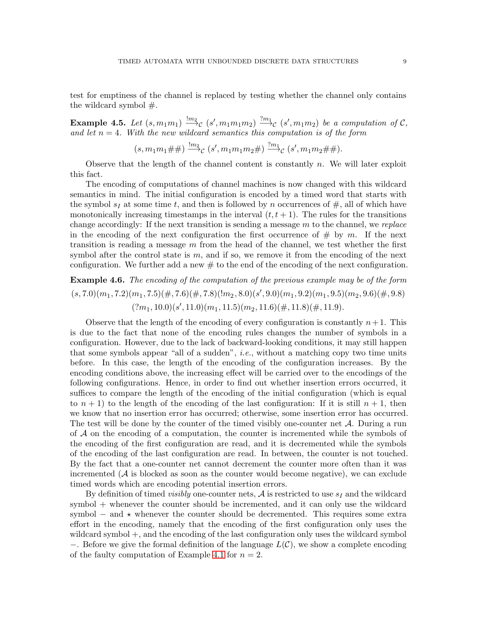test for emptiness of the channel is replaced by testing whether the channel only contains the wildcard symbol  $#$ .

Example 4.5. Let  $(s, m_1m_1) \stackrel{lm_2}{\longrightarrow} c(s', m_1m_1m_2) \stackrel{?m_1}{\longrightarrow} c(s', m_1m_2)$  be a computation of C, and let  $n = 4$ . With the new wildcard semantics this computation is of the form

$$
(s, m_1m_1 \# \#) \stackrel{!m_2} {\longrightarrow} c (s', m_1m_1m_2 \#) \stackrel{?m_1} {\longrightarrow} c (s', m_1m_2 \# \#).
$$

Observe that the length of the channel content is constantly  $n$ . We will later exploit this fact.

The encoding of computations of channel machines is now changed with this wildcard semantics in mind. The initial configuration is encoded by a timed word that starts with the symbol  $s_I$  at some time t, and then is followed by n occurrences of  $\#$ , all of which have monotonically increasing timestamps in the interval  $(t, t + 1)$ . The rules for the transitions change accordingly: If the next transition is sending a message m to the channel, we *replace* in the encoding of the next configuration the first occurrence of  $\#$  by m. If the next transition is reading a message  $m$  from the head of the channel, we test whether the first symbol after the control state is  $m$ , and if so, we remove it from the encoding of the next configuration. We further add a new  $\#$  to the end of the encoding of the next configuration.

**Example 4.6.** The encoding of the computation of the previous example may be of the form  $(s, 7.0)(m_1, 7.2)(m_1, 7.5)(\text{#}, 7.6)(\text{#}, 7.8)(\text{!}m_2, 8.0)(s', 9.0)(m_1, 9.2)(m_1, 9.5)(m_2, 9.6)(\text{#}, 9.8)$  $(2m_1, 10.0)(s', 11.0)(m_1, 11.5)(m_2, 11.6)(\text{\#}, 11.8)(\text{\#}, 11.9).$ 

Observe that the length of the encoding of every configuration is constantly  $n+1$ . This is due to the fact that none of the encoding rules changes the number of symbols in a configuration. However, due to the lack of backward-looking conditions, it may still happen that some symbols appear "all of a sudden", *i.e.*, without a matching copy two time units before. In this case, the length of the encoding of the configuration increases. By the encoding conditions above, the increasing effect will be carried over to the encodings of the following configurations. Hence, in order to find out whether insertion errors occurred, it suffices to compare the length of the encoding of the initial configuration (which is equal to  $n + 1$ ) to the length of the encoding of the last configuration: If it is still  $n + 1$ , then we know that no insertion error has occurred; otherwise, some insertion error has occurred. The test will be done by the counter of the timed visibly one-counter net  $\mathcal{A}$ . During a run of  $A$  on the encoding of a computation, the counter is incremented while the symbols of the encoding of the first configuration are read, and it is decremented while the symbols of the encoding of the last configuration are read. In between, the counter is not touched. By the fact that a one-counter net cannot decrement the counter more often than it was incremented  $(A$  is blocked as soon as the counter would become negative), we can exclude timed words which are encoding potential insertion errors.

By definition of timed *visibly* one-counter nets,  $A$  is restricted to use  $s_I$  and the wildcard symbol + whenever the counter should be incremented, and it can only use the wildcard symbol – and  $\star$  whenever the counter should be decremented. This requires some extra effort in the encoding, namely that the encoding of the first configuration only uses the wildcard symbol +, and the encoding of the last configuration only uses the wildcard symbol −. Before we give the formal definition of the language  $L(\mathcal{C})$ , we show a complete encoding of the faulty computation of Example [4.1](#page-5-0) for  $n = 2$ .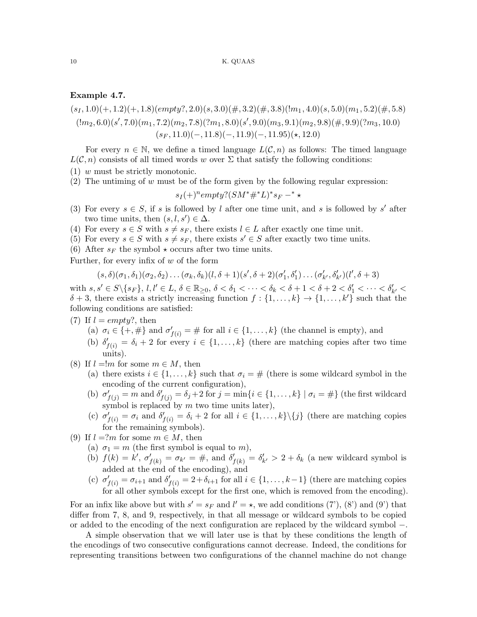## <span id="page-9-0"></span>Example 4.7.

 $(s_1, 1.0)(+, 1.2)(+, 1.8)(empty?, 2.0)(s, 3.0)(#, 3.2)(#, 3.8)(!m_1, 4.0)(s, 5.0)(m_1, 5.2)(#, 5.8)$  $(lm_2, 6.0)(s', 7.0)(m_1, 7.2)(m_2, 7.8)(?m_1, 8.0)(s', 9.0)(m_3, 9.1)(m_2, 9.8)(\#, 9.9)(?m_3, 10.0)$  $(s_F, 11.0)(-, 11.8)(-, 11.9)(-, 11.95)(*, 12.0)$ 

For every  $n \in \mathbb{N}$ , we define a timed language  $L(\mathcal{C}, n)$  as follows: The timed language  $L(\mathcal{C}, n)$  consists of all timed words w over  $\Sigma$  that satisfy the following conditions:

- (1) w must be strictly monotonic.
- (2) The untiming of w must be of the form given by the following regular expression:

 $s_I (+)^n empty? (SM^* \#^* L)^* s_F -^* \star$ 

- (3) For every  $s \in S$ , if s is followed by l after one time unit, and s is followed by s' after two time units, then  $(s, l, s') \in \Delta$ .
- (4) For every  $s \in S$  with  $s \neq s_F$ , there exists  $l \in L$  after exactly one time unit.
- (5) For every  $s \in S$  with  $s \neq s_F$ , there exists  $s' \in S$  after exactly two time units.
- (6) After  $s_F$  the symbol  $\star$  occurs after two time units.

Further, for every infix of  $w$  of the form

$$
(s,\delta)(\sigma_1,\delta_1)(\sigma_2,\delta_2)\dots(\sigma_k,\delta_k)(l,\delta+1)(s',\delta+2)(\sigma'_1,\delta'_1)\dots(\sigma'_{k'},\delta'_{k'})(l',\delta+3)
$$

with  $s, s' \in S \setminus \{s_F\}, l, l' \in L, \delta \in \mathbb{R}_{\geq 0}, \delta < \delta_1 < \cdots < \delta_k < \delta + 1 < \delta + 2 < \delta'_1 < \cdots < \delta'_{k'} < \delta'$  $\delta + 3$ , there exists a strictly increasing function  $f : \{1, \ldots, k\} \to \{1, \ldots, k'\}$  such that the following conditions are satisfied:

(7) If  $l = empty$ ?, then

(a)  $\sigma_i \in \{+, \# \}$  and  $\sigma'_{f(i)} = \#$  for all  $i \in \{1, \ldots, k\}$  (the channel is empty), and

- (b)  $\delta'_{f(i)} = \delta_i + 2$  for every  $i \in \{1, ..., k\}$  (there are matching copies after two time units).
- (8) If  $l = m$  for some  $m \in M$ , then
	- (a) there exists  $i \in \{1, \ldots, k\}$  such that  $\sigma_i = \#$  (there is some wildcard symbol in the encoding of the current configuration),
	- (b)  $\sigma'_{f(j)} = m$  and  $\delta'_{f(j)} = \delta_j + 2$  for  $j = \min\{i \in \{1, ..., k\} \mid \sigma_i = \#\}$  (the first wildcard symbol is replaced by  $m$  two time units later),
	- (c)  $\sigma'_{f(i)} = \sigma_i$  and  $\delta'_{f(i)} = \delta_i + 2$  for all  $i \in \{1, ..., k\} \setminus \{j\}$  (there are matching copies for the remaining symbols).
- (9) If  $l = ?m$  for some  $m \in M$ , then
	- (a)  $\sigma_1 = m$  (the first symbol is equal to m),
	- (b)  $f(k) = k'$ ,  $\sigma'_{f(k)} = \sigma_{k'} = #$ , and  $\delta'_{f(k)} = \delta'_{k'} > 2 + \delta_k$  (a new wildcard symbol is added at the end of the encoding), and
	- (c)  $\sigma'_{f(i)} = \sigma_{i+1}$  and  $\delta'_{f(i)} = 2 + \delta_{i+1}$  for all  $i \in \{1, \ldots, k-1\}$  (there are matching copies for all other symbols except for the first one, which is removed from the encoding).

For an infix like above but with  $s' = s_F$  and  $l' = \star$ , we add conditions (7'), (8') and (9') that differ from 7, 8, and 9, respectively, in that all message or wildcard symbols to be copied or added to the encoding of the next configuration are replaced by the wildcard symbol −.

A simple observation that we will later use is that by these conditions the length of the encodings of two consecutive configurations cannot decrease. Indeed, the conditions for representing transitions between two configurations of the channel machine do not change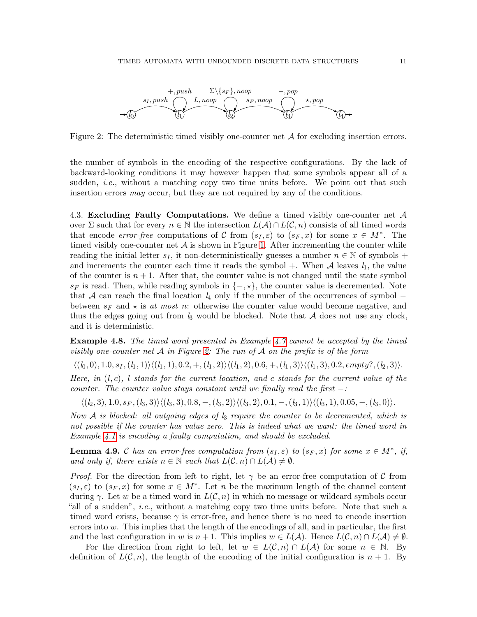

<span id="page-10-0"></span>Figure 2: The deterministic timed visibly one-counter net  $A$  for excluding insertion errors.

the number of symbols in the encoding of the respective configurations. By the lack of backward-looking conditions it may however happen that some symbols appear all of a sudden, *i.e.*, without a matching copy two time units before. We point out that such insertion errors *may* occur, but they are not required by any of the conditions.

4.3. Excluding Faulty Computations. We define a timed visibly one-counter net  $\mathcal A$ over  $\Sigma$  such that for every  $n \in \mathbb{N}$  the intersection  $L(\mathcal{A}) \cap L(\mathcal{C}, n)$  consists of all timed words that encode *error-free* computations of C from  $(s_I, \varepsilon)$  to  $(s_F, x)$  for some  $x \in M^*$ . The timed visibly one-counter net  $A$  is shown in Figure [1.](#page-3-0) After incrementing the counter while reading the initial letter  $s_I$ , it non-deterministically guesses a number  $n \in \mathbb{N}$  of symbols + and increments the counter each time it reads the symbol  $+$ . When  $A$  leaves  $l_1$ , the value of the counter is  $n + 1$ . After that, the counter value is not changed until the state symbol  $s_F$  is read. Then, while reading symbols in  $\{-, \star\}$ , the counter value is decremented. Note that A can reach the final location *l*<sup>4</sup> only if the number of the occurrences of symbol − between  $s_F$  and  $\star$  is *at most* n: otherwise the counter value would become negative, and thus the edges going out from  $l_3$  would be blocked. Note that  $A$  does not use any clock, and it is deterministic.

Example 4.8. *The timed word presented in Example [4.7](#page-9-0) cannot be accepted by the timed visibly one-counter net* A *in Figure [2:](#page-10-0) The run of* A *on the prefix is of the form*

 $\langle (l_0, 0), 1.0, s_1, (l_1, 1) \rangle \langle (l_1, 1), 0.2, +, (l_1, 2) \rangle \langle (l_1, 2), 0.6, +, (l_1, 3) \rangle \langle (l_1, 3), 0.2, \text{empty}^2, (l_2, 3) \rangle.$ 

*Here, in* (*l*, c)*, l stands for the current location, and* c *stands for the current value of the counter. The counter value stays constant until we finally read the first* −*:*

 $\langle (l_2, 3), 1.0, s_F, (l_3, 3) \rangle \langle (l_3, 3), 0.8, -, (l_3, 2) \rangle \langle (l_3, 2), 0.1, -, (l_3, 1) \rangle \langle (l_3, 1), 0.05, -, (l_3, 0) \rangle.$ 

*Now* A *is blocked: all outgoing edges of l*<sup>3</sup> *require the counter to be decremented, which is not possible if the counter has value zero. This is indeed what we want: the timed word in Example [4.1](#page-5-0) is encoding a faulty computation, and should be excluded.*

**Lemma 4.9.** C has an error-free computation from  $(s_I, \varepsilon)$  to  $(s_F, x)$  for some  $x \in M^*$ , if, *and only if, there exists*  $n \in \mathbb{N}$  *such that*  $L(C, n) \cap L(\mathcal{A}) \neq \emptyset$ *.* 

*Proof.* For the direction from left to right, let  $\gamma$  be an error-free computation of C from  $(s_I, \varepsilon)$  to  $(s_F, x)$  for some  $x \in M^*$ . Let n be the maximum length of the channel content during  $\gamma$ . Let w be a timed word in  $L(\mathcal{C}, n)$  in which no message or wildcard symbols occur "all of a sudden", *i.e.*, without a matching copy two time units before. Note that such a timed word exists, because  $\gamma$  is error-free, and hence there is no need to encode insertion errors into  $w$ . This implies that the length of the encodings of all, and in particular, the first and the last configuration in w is  $n + 1$ . This implies  $w \in L(\mathcal{A})$ . Hence  $L(\mathcal{C}, n) \cap L(\mathcal{A}) \neq \emptyset$ .

For the direction from right to left, let  $w \in L(C, n) \cap L(\mathcal{A})$  for some  $n \in \mathbb{N}$ . By definition of  $L(\mathcal{C}, n)$ , the length of the encoding of the initial configuration is  $n + 1$ . By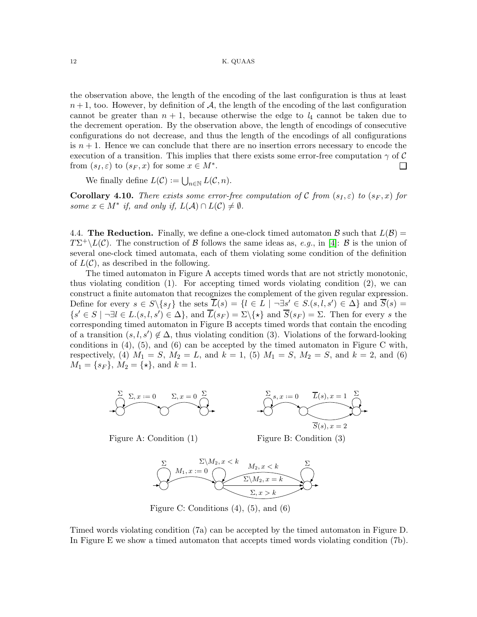#### 12 K. QUAAS

the observation above, the length of the encoding of the last configuration is thus at least  $n+1$ , too. However, by definition of A, the length of the encoding of the last configuration cannot be greater than  $n + 1$ , because otherwise the edge to  $l_4$  cannot be taken due to the decrement operation. By the observation above, the length of encodings of consecutive configurations do not decrease, and thus the length of the encodings of all configurations is  $n + 1$ . Hence we can conclude that there are no insertion errors necessary to encode the execution of a transition. This implies that there exists some error-free computation  $\gamma$  of C from  $(s_I, \varepsilon)$  to  $(s_F, x)$  for some  $x \in M^*$ .  $\Box$ 

We finally define  $L(\mathcal{C}) := \bigcup_{n \in \mathbb{N}} L(\mathcal{C}, n)$ .

<span id="page-11-0"></span>**Corollary 4.10.** *There exists some error-free computation of* C *from*  $(s_I, \varepsilon)$  *to*  $(s_F, x)$  *for some*  $x \in M^*$  *if, and only if,*  $L(\mathcal{A}) \cap L(\mathcal{C}) \neq \emptyset$ *.* 

4.4. The Reduction. Finally, we define a one-clock timed automaton B such that  $L(\mathcal{B}) =$  $T\Sigma^+\backslash L(\mathcal{C})$ . The construction of B follows the same ideas as, *e.g.*, in [\[4\]](#page-21-7): B is the union of several one-clock timed automata, each of them violating some condition of the definition of  $L(\mathcal{C})$ , as described in the following.

The timed automaton in Figure A accepts timed words that are not strictly monotonic, thus violating condition  $(1)$ . For accepting timed words violating condition  $(2)$ , we can construct a finite automaton that recognizes the complement of the given regular expression. Define for every  $s \in S \setminus \{s_f\}$  the sets  $\overline{L}(s) = \{l \in L \mid \neg \exists s' \in S.(s, l, s') \in \Delta\}$  and  $\overline{S}(s) =$  $\{s' \in S \mid \neg \exists l \in L(s, l, s') \in \Delta\}$ , and  $\overline{L}(s_F) = \Sigma \setminus \{\star\}$  and  $\overline{S}(s_F) = \Sigma$ . Then for every s the corresponding timed automaton in Figure B accepts timed words that contain the encoding of a transition  $(s, l, s') \notin \Delta$ , thus violating condition (3). Violations of the forward-looking conditions in  $(4)$ ,  $(5)$ , and  $(6)$  can be accepted by the timed automaton in Figure C with, respectively, (4)  $M_1 = S$ ,  $M_2 = L$ , and  $k = 1$ , (5)  $M_1 = S$ ,  $M_2 = S$ , and  $k = 2$ , and (6)  $M_1 = \{s_F\}, M_2 = \{\star\}, \text{ and } k = 1.$ 





Figure A: Condition (1) Figure B: Condition (3)



Figure C: Conditions (4), (5), and (6)

Timed words violating condition (7a) can be accepted by the timed automaton in Figure D. In Figure E we show a timed automaton that accepts timed words violating condition (7b).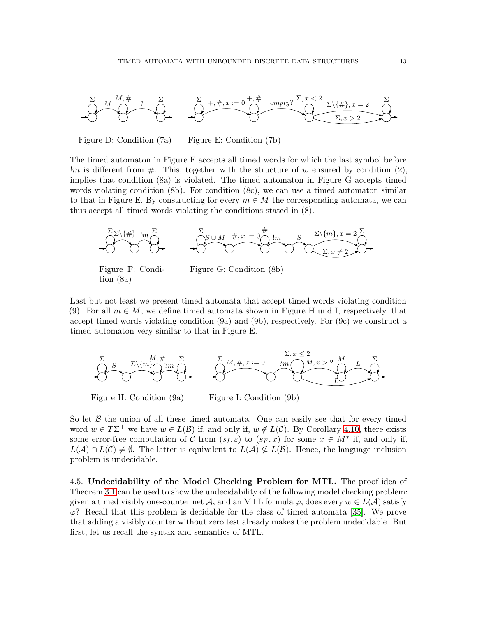

Figure D: Condition (7a) Figure E: Condition (7b)

The timed automaton in Figure F accepts all timed words for which the last symbol before  $\mathbb{R}^m$  is different from  $\#$ . This, together with the structure of w ensured by condition (2), implies that condition (8a) is violated. The timed automaton in Figure G accepts timed words violating condition (8b). For condition (8c), we can use a timed automaton similar to that in Figure E. By constructing for every  $m \in M$  the corresponding automata, we can thus accept all timed words violating the conditions stated in (8).



Figure F: Condition (8a)

Figure G: Condition (8b)

Last but not least we present timed automata that accept timed words violating condition (9). For all  $m \in M$ , we define timed automata shown in Figure H und I, respectively, that accept timed words violating condition (9a) and (9b), respectively. For (9c) we construct a timed automaton very similar to that in Figure E.



Figure H: Condition (9a) Figure I: Condition (9b)

So let  $\beta$  the union of all these timed automata. One can easily see that for every timed word  $w \in T\Sigma^+$  we have  $w \in L(\mathcal{B})$  if, and only if,  $w \notin L(\mathcal{C})$ . By Corollary [4.10,](#page-11-0) there exists some error-free computation of C from  $(s_I, \varepsilon)$  to  $(s_F, x)$  for some  $x \in M^*$  if, and only if,  $L(\mathcal{A}) \cap L(\mathcal{C}) \neq \emptyset$ . The latter is equivalent to  $L(\mathcal{A}) \not\subseteq L(\mathcal{B})$ . Hence, the language inclusion problem is undecidable.

4.5. Undecidability of the Model Checking Problem for MTL. The proof idea of Theorem [3.1](#page-4-0) can be used to show the undecidability of the following model checking problem: given a timed visibly one-counter net A, and an MTL formula  $\varphi$ , does every  $w \in L(\mathcal{A})$  satisfy  $\varphi$ ? Recall that this problem is decidable for the class of timed automata [\[35\]](#page-22-2). We prove that adding a visibly counter without zero test already makes the problem undecidable. But first, let us recall the syntax and semantics of MTL.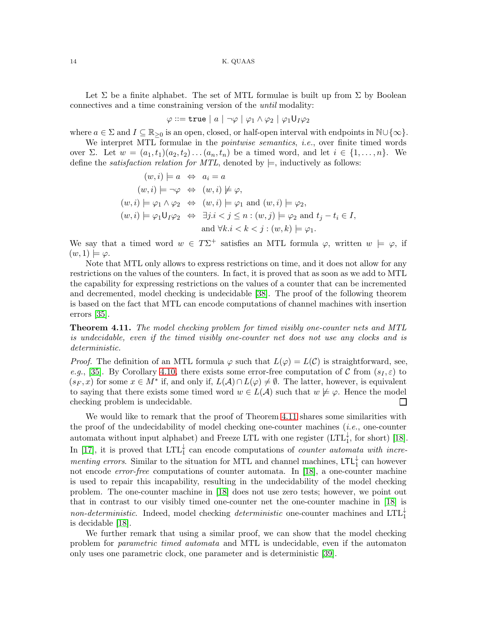Let  $\Sigma$  be a finite alphabet. The set of MTL formulae is built up from  $\Sigma$  by Boolean connectives and a time constraining version of the *until* modality:

$$
\varphi ::= \mathtt{true} \mid a \mid \neg \varphi \mid \varphi_1 \land \varphi_2 \mid \varphi_1 \mathsf{U}_I \varphi_2
$$

where  $a \in \Sigma$  and  $I \subseteq \mathbb{R}_{\geq 0}$  is an open, closed, or half-open interval with endpoints in  $\mathbb{N} \cup \{\infty\}$ .

We interpret MTL formulae in the *pointwise semantics*, *i.e.*, over finite timed words over  $\Sigma$ . Let  $w = (a_1, t_1)(a_2, t_2) \dots (a_n, t_n)$  be a timed word, and let  $i \in \{1, \dots, n\}$ . We define the *satisfaction relation for MTL*, denoted by  $\models$ , inductively as follows:

$$
(w, i) \models a \Leftrightarrow a_i = a
$$
  
\n
$$
(w, i) \models \neg \varphi \Leftrightarrow (w, i) \not\models \varphi,
$$
  
\n
$$
(w, i) \models \varphi_1 \land \varphi_2 \Leftrightarrow (w, i) \models \varphi_1 \text{ and } (w, i) \models \varphi_2,
$$
  
\n
$$
(w, i) \models \varphi_1 \mathsf{U}_I \varphi_2 \Leftrightarrow \exists j.i < j \le n : (w, j) \models \varphi_2 \text{ and } t_j - t_i \in I,
$$
  
\n
$$
\text{and } \forall k.i < k < j : (w, k) \models \varphi_1.
$$

We say that a timed word  $w \in T\Sigma^+$  satisfies an MTL formula  $\varphi$ , written  $w \models \varphi$ , if  $(w, 1) \models \varphi$ .

Note that MTL only allows to express restrictions on time, and it does not allow for any restrictions on the values of the counters. In fact, it is proved that as soon as we add to MTL the capability for expressing restrictions on the values of a counter that can be incremented and decremented, model checking is undecidable [\[38\]](#page-23-2). The proof of the following theorem is based on the fact that MTL can encode computations of channel machines with insertion errors [\[35\]](#page-22-2).

<span id="page-13-0"></span>Theorem 4.11. *The model checking problem for timed visibly one-counter nets and MTL is undecidable, even if the timed visibly one-counter net does not use any clocks and is deterministic.*

*Proof.* The definition of an MTL formula  $\varphi$  such that  $L(\varphi) = L(\mathcal{C})$  is straightforward, see, *e.g.*, [\[35\]](#page-22-2). By Corollary [4.10,](#page-11-0) there exists some error-free computation of C from  $(s_I, \varepsilon)$  to  $(s_F, x)$  for some  $x \in M^*$  if, and only if,  $L(\mathcal{A}) \cap L(\varphi) \neq \emptyset$ . The latter, however, is equivalent to saying that there exists some timed word  $w \in L(\mathcal{A})$  such that  $w \not\models \varphi$ . Hence the model checking problem is undecidable. ⊔

We would like to remark that the proof of Theorem [4.11](#page-13-0) shares some similarities with the proof of the undecidability of model checking one-counter machines (*i.e.*, one-counter automata without input alphabet) and Freeze LTL with one register  $(LTL_1^{\downarrow}$ , for short) [\[18\]](#page-22-6). In [\[17\]](#page-22-15), it is proved that  $LTL_1^{\downarrow}$  can encode computations of *counter automata with incrementing errors*. Similar to the situation for MTL and channel machines,  $LTL_1^{\downarrow}$  can however not encode *error-free* computations of counter automata. In [\[18\]](#page-22-6), a one-counter machine is used to repair this incapability, resulting in the undecidability of the model checking problem. The one-counter machine in [\[18\]](#page-22-6) does not use zero tests; however, we point out that in contrast to our visibly timed one-counter net the one-counter machine in [\[18\]](#page-22-6) is non-deterministic. Indeed, model checking *deterministic* one-counter machines and LTL<sup>↓</sup> is decidable [\[18\]](#page-22-6).

We further remark that using a similar proof, we can show that the model checking problem for *parametric timed automata* and MTL is undecidable, even if the automaton only uses one parametric clock, one parameter and is deterministic [\[39\]](#page-23-3).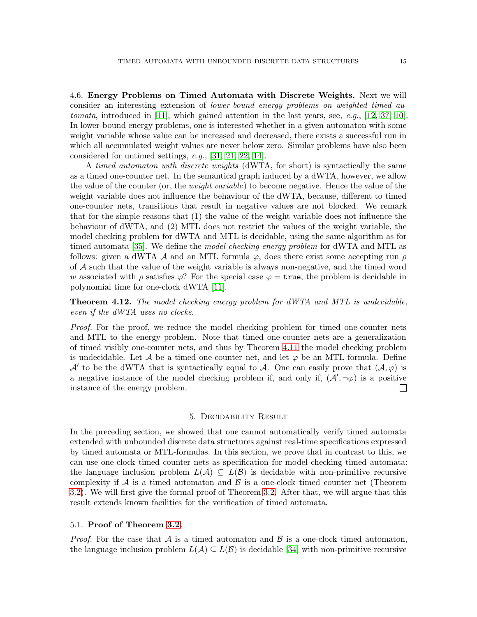4.6. Energy Problems on Timed Automata with Discrete Weights. Next we will consider an interesting extension of *lower-bound energy problems on weighted timed automata*, introduced in [\[11\]](#page-21-8), which gained attention in the last years, see, *e.g.*, [\[12,](#page-21-9) [37,](#page-23-4) [10\]](#page-21-10). In lower-bound energy problems, one is interested whether in a given automaton with some weight variable whose value can be increased and decreased, there exists a successful run in which all accumulated weight values are never below zero. Similar problems have also been considered for untimed settings, *e.g.*, [\[31,](#page-22-16) [21,](#page-22-17) [22,](#page-22-18) [14\]](#page-22-19).

A *timed automaton with discrete weights* (dWTA, for short) is syntactically the same as a timed one-counter net. In the semantical graph induced by a dWTA, however, we allow the value of the counter (or, the *weight variable*) to become negative. Hence the value of the weight variable does not influence the behaviour of the dWTA, because, different to timed one-counter nets, transitions that result in negative values are not blocked. We remark that for the simple reasons that (1) the value of the weight variable does not influence the behaviour of dWTA, and (2) MTL does not restrict the values of the weight variable, the model checking problem for dWTA and MTL is decidable, using the same algorithm as for timed automata [\[35\]](#page-22-2). We define the *model checking energy problem* for dWTA and MTL as follows: given a dWTA A and an MTL formula  $\varphi$ , does there exist some accepting run  $\rho$ of A such that the value of the weight variable is always non-negative, and the timed word w associated with  $\rho$  satisfies  $\varphi$ ? For the special case  $\varphi = \text{true}$ , the problem is decidable in polynomial time for one-clock dWTA [\[11\]](#page-21-8).

Theorem 4.12. *The model checking energy problem for dWTA and MTL is undecidable, even if the dWTA uses no clocks.*

*Proof.* For the proof, we reduce the model checking problem for timed one-counter nets and MTL to the energy problem. Note that timed one-counter nets are a generalization of timed visibly one-counter nets, and thus by Theorem [4.11](#page-13-0) the model checking problem is undecidable. Let A be a timed one-counter net, and let  $\varphi$  be an MTL formula. Define A' to be the dWTA that is syntactically equal to A. One can easily prove that  $(A, \varphi)$  is a negative instance of the model checking problem if, and only if,  $(\mathcal{A}', \neg \varphi)$  is a positive instance of the energy problem.  $\Box$ 

#### 5. Decidability Result

In the preceding section, we showed that one cannot automatically verify timed automata extended with unbounded discrete data structures against real-time specifications expressed by timed automata or MTL-formulas. In this section, we prove that in contrast to this, we can use one-clock timed counter nets as specification for model checking timed automata: the language inclusion problem  $L(\mathcal{A}) \subseteq L(\mathcal{B})$  is decidable with non-primitive recursive complexity if  $\mathcal A$  is a timed automaton and  $\mathcal B$  is a one-clock timed counter net (Theorem [3.2\)](#page-4-1). We will first give the formal proof of Theorem [3.2.](#page-4-1) After that, we will argue that this result extends known facilities for the verification of timed automata.

## 5.1. Proof of Theorem [3.2.](#page-4-1)

*Proof.* For the case that  $\mathcal A$  is a timed automaton and  $\mathcal B$  is a one-clock timed automaton, the language inclusion problem  $L(\mathcal{A}) \subseteq L(\mathcal{B})$  is decidable [\[34\]](#page-22-0) with non-primitive recursive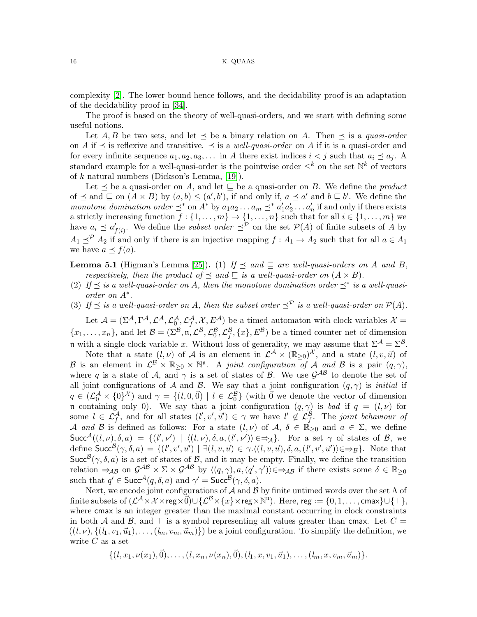complexity [\[2\]](#page-21-5). The lower bound hence follows, and the decidability proof is an adaptation of the decidability proof in [\[34\]](#page-22-0).

The proof is based on the theory of well-quasi-orders, and we start with defining some useful notions.

Let A, B be two sets, and let  $\preceq$  be a binary relation on A. Then  $\preceq$  is a *quasi-order* on A if  $\preceq$  is reflexive and transitive.  $\preceq$  is a *well-quasi-order* on A if it is a quasi-order and for every infinite sequence  $a_1, a_2, a_3, \ldots$  in A there exist indices  $i < j$  such that  $a_i \preceq a_j$ . A standard example for a well-quasi-order is the pointwise order  $\leq^k$  on the set  $\mathbb{N}^k$  of vectors of k natural numbers (Dickson's Lemma, [\[19\]](#page-22-20)).

Let  $\preceq$  be a quasi-order on A, and let  $\sqsubseteq$  be a quasi-order on B. We define the *product* of  $\leq$  and  $\subseteq$  on  $(A \times B)$  by  $(a, b) \leq (a', b')$ , if and only if,  $a \leq a'$  and  $b \subseteq b'$ . We define the *monotone domination order*  $\preceq^*$  on  $A^*$  by  $a_1 a_2 ... a_m \preceq^* a'_1 a'_2 ... a'_n$  if and only if there exists a strictly increasing function  $f: \{1, \ldots, m\} \to \{1, \ldots, n\}$  such that for all  $i \in \{1, \ldots, m\}$  we have  $a_i \preceq a'_{f(i)}$ . We define the *subset order*  $\preceq^{\mathcal{P}}$  on the set  $\mathcal{P}(A)$  of finite subsets of A by  $A_1 \preceq^{\mathcal{P}} A_2$  if and only if there is an injective mapping  $f : A_1 \to A_2$  such that for all  $a \in A_1$ we have  $a \preceq f(a)$ .

**Lemma 5.1** (Higman's Lemma [\[25\]](#page-22-21)). (1) *If*  $\preceq$  *and*  $\sqsubseteq$  *are well-quasi-orders on* A *and* B, *respectively, then the product of*  $\leq$  *and*  $\subseteq$  *is a well-quasi-order on*  $(A \times B)$ *.* 

- (2) If  $\preceq$  *is a well-quasi-order on A, then the monotone domination order*  $\preceq^*$  *is a well-quasiorder on* A<sup>∗</sup> *.*
- (3) If  $\preceq$  *is a well-quasi-order on* A, then the subset order  $\preceq^{\mathcal{P}}$  *is a well-quasi-order on*  $\mathcal{P}(A)$ *.*

Let  $\mathcal{A} = (\Sigma^{\mathcal{A}}, \Gamma^{\mathcal{A}}, \mathcal{L}^{\mathcal{A}}, \mathcal{L}^{\mathcal{A}}_0, \mathcal{L}^{\mathcal{A}}_f, \mathcal{X}, E^{\mathcal{A}})$  be a timed automaton with clock variables  $\mathcal{X} =$  $\{x_1,\ldots,x_n\}$ , and let  $\mathcal{B} = (\Sigma^{\mathcal{B}}, \mathfrak{n}, \mathcal{L}^{\mathcal{B}}, \mathcal{L}^{\mathcal{B}}_0, \mathcal{L}^{\mathcal{B}}_f, \{x\}, E^{\mathcal{B}})$  be a timed counter net of dimension n with a single clock variable x. Without loss of generality, we may assume that  $\Sigma^{\mathcal{A}} = \Sigma^{\mathcal{B}}$ .

Note that a state  $(l, \nu)$  of A is an element in  $\mathcal{L}^{\mathcal{A}} \times (\mathbb{R}_{\geq 0})^{\mathcal{X}}$ , and a state  $(l, v, \vec{u})$  of B is an element in  $\mathcal{L}^{\mathcal{B}} \times \mathbb{R}_{\geq 0} \times \mathbb{N}^n$ . A *joint configuration of* A and B is a pair  $(q, \gamma)$ , where q is a state of  $A$ , and  $\gamma$  is a set of states of  $B$ . We use  $\mathcal{G}^{AB}$  to denote the set of all joint configurations of A and B. We say that a joint configuration  $(q, \gamma)$  is *initial* if  $q \in (\mathcal{L}_{0}^{\mathcal{A}} \times \{0\}^{\mathcal{X}})$  and  $\gamma = \{(l, 0, \vec{0}) \mid l \in \mathcal{L}_{0}^{\mathcal{B}}\}$  (with  $\vec{0}$  we denote the vector of dimension n containing only 0). We say that a joint configuration  $(q, \gamma)$  is *bad* if  $q = (l, \nu)$  for some  $l \in \mathcal{L}_f^{\mathcal{A}}$ , and for all states  $(l', v', \vec{u}') \in \gamma$  we have  $l' \notin \mathcal{L}_f^{\mathcal{B}}$ . The *joint behaviour of* A *and* B is defined as follows: For a state  $(l, \nu)$  of A,  $\delta \in \mathbb{R}_{\geq 0}$  and  $a \in \Sigma$ , we define  $Succ^{\mathcal{A}}((l,\nu),\delta,a) = \{(l',\nu') | \langle (l,\nu), \delta, a, (l',\nu') \rangle \in \Rightarrow_{\mathcal{A}}\}.$  For a set  $\gamma$  of states of  $\mathcal{B}$ , we define  $\mathsf{Succ}^{\mathcal{B}}(\gamma, \delta, a) = \{ (l', v', \vec{u}') \mid \exists (l, v, \vec{u}) \in \gamma \ldotp \langle (l, v, \vec{u}), \delta, a, (l', v', \vec{u}') \rangle \in \Rightarrow_{\mathcal{B}} \}$ . Note that Succ<sup>B</sup> $(\gamma, \delta, a)$  is a set of states of B, and it may be empty. Finally, we define the transition relation  $\Rightarrow_{AB}$  on  $\mathcal{G}^{AB} \times \Sigma \times \mathcal{G}^{AB}$  by  $\langle (q, \gamma), a, (q', \gamma') \rangle \in \Rightarrow_{AB}$  if there exists some  $\delta \in \mathbb{R}_{\geq 0}$ such that  $q' \in \mathsf{Succ}^{\mathcal{A}}(q, \delta, a)$  and  $\gamma' = \mathsf{Succ}^{\mathcal{B}}(\gamma, \delta, a)$ .

Next, we encode joint configurations of  $\mathcal A$  and  $\mathcal B$  by finite untimed words over the set  $\Lambda$  of  $\text{finite subsets of } (\mathcal{L}^\mathcal{A} \times \mathcal{X} \times \mathsf{reg} \times \vec{0}) \cup \{\mathcal{L}^\mathcal{B} \times \{x\} \times \mathsf{reg} \times \vec{\mathbb{N}^n} \}. \text{ Here, reg} := \{0, 1, \ldots, \textsf{cmax}\} \cup \{\top\},$ where cmax is an integer greater than the maximal constant occurring in clock constraints in both A and B, and  $\top$  is a symbol representing all values greater than cmax. Let  $C =$  $((l, \nu), \{(l_1, v_1, \vec{u}_1), \ldots, (l_m, v_m, \vec{u}_m)\})$  be a joint configuration. To simplify the definition, we write  $C$  as a set

$$
\{(l, x_1, \nu(x_1), \vec{0}), \ldots, (l, x_n, \nu(x_n), \vec{0}), (l_1, x, v_1, \vec{u}_1), \ldots, (l_m, x, v_m, \vec{u}_m)\}.
$$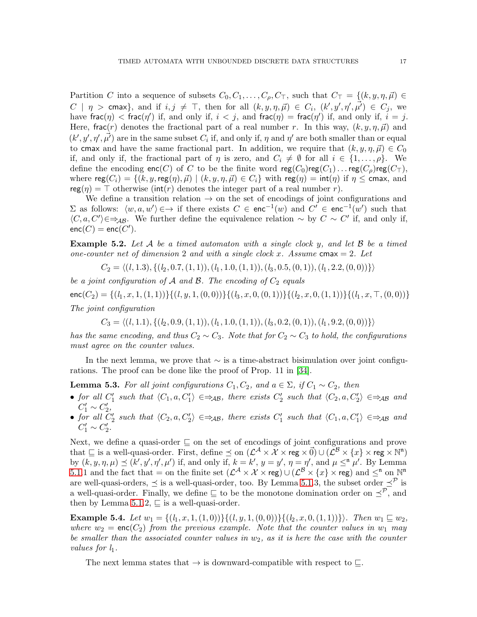Partition C into a sequence of subsets  $C_0, C_1, \ldots, C_\rho, C_\top$ , such that  $C_\top = \{(k, y, \eta, \vec{\mu}) \in$  $C \mid \eta$  > cmax}, and if  $i, j \neq \top$ , then for all  $(k, y, \eta, \vec{\mu}) \in C_i$ ,  $(k', y', \eta', \vec{\mu'}) \in C_j$ , we have frac $(\eta) <$  frac $(\eta')$  if, and only if,  $i < j$ , and frac $(\eta)$  = frac $(\eta')$  if, and only if,  $i = j$ . Here, frac(r) denotes the fractional part of a real number r. In this way,  $(k, y, \eta, \vec{\mu})$  and  $(k', y', \eta', \vec{\mu'})$  are in the same subset  $C_i$  if, and only if,  $\eta$  and  $\eta'$  are both smaller than or equal to cmax and have the same fractional part. In addition, we require that  $(k, y, \eta, \vec{\mu}) \in C_0$ if, and only if, the fractional part of  $\eta$  is zero, and  $C_i \neq \emptyset$  for all  $i \in \{1, \ldots, \rho\}$ . We define the encoding enc(C) of C to be the finite word  $reg(C_0)reg(C_1) \dots reg(C_\rho)reg(C_\tau)$ , where  $reg(C_i) = \{(k, y, reg(\eta), \vec{\mu}) \mid (k, y, \eta, \vec{\mu}) \in C_i\}$  with  $reg(\eta) = int(\eta)$  if  $\eta \le$  cmax, and  $\mathsf{reg}(\eta) = \top$  otherwise (int(r) denotes the integer part of a real number r).

We define a transition relation  $\rightarrow$  on the set of encodings of joint configurations and Σ as follows:  $\langle w, a, w' \rangle$  ∈→ if there exists  $C \in \text{enc}^{-1}(w)$  and  $C' \in \text{enc}^{-1}(w')$  such that  $\langle C, a, C' \rangle \in \Rightarrow_{AB}$ . We further define the equivalence relation ~ by  $C \sim C'$  if, and only if,  $enc(C) = enc(C').$ 

Example 5.2. *Let* A *be a timed automaton with a single clock* y*, and let* B *be a timed one-counter net of dimension* 2 *and with a single clock* x*. Assume* cmax = 2*. Let*

 $C_2 = \langle (l, 1.3), \{(l_2, 0.7, (1, 1)), (l_1, 1.0, (1, 1)), (l_3, 0.5, (0, 1)), (l_1, 2.2, (0, 0))\}\rangle$ 

*be a joint configuration of*  $A$  *and*  $B$ *. The encoding of*  $C_2$  *equals*  $\mathsf{enc}(C_2) = \{(l_1, x, 1, (1, 1))\}\{(l, y, 1, (0, 0))\}\{(l_3, x, 0, (0, 1))\}\{(l_2, x, 0, (1, 1))\}\{(l_1, x, \top, (0, 0))\}$ *The joint configuration*

 $C_3 = \langle (l, 1.1), \{ (l_2, 0.9, (1, 1)), (l_1, 1.0, (1, 1)), (l_3, 0.2, (0, 1)), (l_1, 9.2, (0, 0)) \} \rangle$ 

*has the same encoding, and thus*  $C_2 \sim C_3$ *. Note that for*  $C_2 \sim C_3$  *to hold, the configurations must agree on the counter values.*

In the next lemma, we prove that  $\sim$  is a time-abstract bisimulation over joint configurations. The proof can be done like the proof of Prop. 11 in [\[34\]](#page-22-0).

<span id="page-16-0"></span>**Lemma 5.3.** *For all joint configurations*  $C_1, C_2$ *, and*  $a \in \Sigma$ *, if*  $C_1 \sim C_2$ *, then* 

- *for all*  $C'_1$  *such that*  $\langle C_1, a, C'_1 \rangle \in \Rightarrow_{AB}$ *, there exists*  $C'_2$  *such that*  $\langle C_2, a, C'_2 \rangle \in \Rightarrow_{AB}$  *and*  $C'_1 \sim C'_2,$
- $G_1 \sim C_2$ ,<br>• *for all*  $C_2'$  such that  $\langle C_2, a, C_2' \rangle \in \Rightarrow_{AB}$ , there exists  $C_1'$  such that  $\langle C_1, a, C_1' \rangle \in \Rightarrow_{AB}$  and  $C'_1 \sim C'_2.$

Next, we define a quasi-order ⊑ on the set of encodings of joint configurations and prove that  $\subseteq$  is a well-quasi-order. First, define  $\preceq$  on  $(\mathcal{L}^{\mathcal{A}} \times \mathcal{X} \times$  reg  $\times$   $\vec{0}) \cup (\mathcal{L}^{\mathcal{B}} \times \{x\} \times$  reg  $\times$   $\mathbb{N}^n)$ by  $(k, y, \eta, \mu) \preceq (k', y', \eta', \mu')$  if, and only if,  $k = k'$ ,  $y = y'$ ,  $\eta = \eta'$ , and  $\mu \leq^{\mathfrak{n}} \mu'$ . By Lemma 5.1.1 and the fact that = on the finite set  $(\mathcal{L}^{\mathcal{A}} \times \mathcal{X} \times \text{reg}) \cup (\mathcal{L}^{\mathcal{B}} \times \{x\} \times \text{reg})$  and  $\leq^{n}$  on  $\mathbb{N}^{n}$ are well-quasi-orders,  $\preceq$  is a well-quasi-order, too. By Lemma 5.1.3, the subset order  $\preceq^{\mathcal{P}}$  is a well-quasi-order. Finally, we define  $\subseteq$  to be the monotone domination order on  $\preceq^{\mathcal{P}}$ , and then by Lemma 5.1.2,  $\sqsubseteq$  is a well-quasi-order.

Example 5.4. *Let*  $w_1 = \{(l_1, x, 1, (1, 0))\}\{(l, y, 1, (0, 0))\}\{(l_2, x, 0, (1, 1))\}\}\$ . Then  $w_1 \sqsubseteq w_2$ , where  $w_2 = \text{enc}(C_2)$  *from the previous example. Note that the counter values in*  $w_1$  *may be smaller than the associated counter values in* w2*, as it is here the case with the counter values for*  $l_1$ *.* 

The next lemma states that  $\rightarrow$  is downward-compatible with respect to  $\sqsubseteq$ .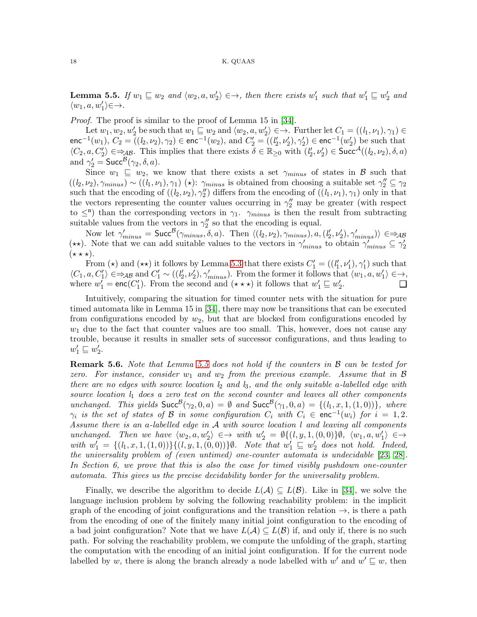<span id="page-17-0"></span>**Lemma 5.5.** If  $w_1 \subseteq w_2$  and  $\langle w_2, a, w'_2 \rangle \in \rightarrow$ , then there exists  $w'_1$  such that  $w'_1 \subseteq w'_2$  and  $\langle w_1, a, w'_1 \rangle \in \rightarrow$ *.* 

*Proof.* The proof is similar to the proof of Lemma 15 in [\[34\]](#page-22-0).

Let  $w_1, w_2, w'_2$  be such that  $w_1 \sqsubseteq w_2$  and  $\langle w_2, a, w'_2 \rangle \in \rightarrow$ . Further let  $C_1 = ((l_1, \nu_1), \gamma_1) \in$ enc<sup>-1</sup>(w<sub>1</sub>),  $C_2 = (l_2, \nu_2), \gamma_2$ ) ∈ enc<sup>-1</sup>(w<sub>2</sub>), and  $C'_2 = (l'_2, \nu'_2), \gamma'_2$ ) ∈ enc<sup>-1</sup>(w<sub>2</sub><sup>'</sup>) be such that  $\langle C_2, a, C'_2 \rangle \in \Rightarrow_{AB}$ . This implies that there exists  $\delta \in \mathbb{R}_{\geq 0}$  with  $(l'_2, \nu'_2) \in \mathsf{Succ}^{\mathcal{A}}((l_2, \nu_2), \delta, a)$ and  $\gamma_2' = \mathsf{Succ}^{\mathcal{B}}(\gamma_2, \delta, a)$ .

Since  $w_1 \subseteq w_2$ , we know that there exists a set  $\gamma_{minus}$  of states in B such that  $((l_2,\nu_2), \gamma_{minus}) \sim ((l_1,\nu_1), \gamma_1)$  (\*):  $\gamma_{minus}$  is obtained from choosing a suitable set  $\gamma_2'' \subseteq \gamma_2$ such that the encoding of  $((l_2, \nu_2), \gamma_2'')$  differs from the encoding of  $((l_1, \nu_1), \gamma_1)$  only in that the vectors representing the counter values occurring in  $\gamma''_2$  may be greater (with respect to  $\leq$ <sup>n</sup>) than the corresponding vectors in  $\gamma_1$ .  $\gamma_{minus}$  is then the result from subtracting suitable values from the vectors in  $\gamma''_2$  so that the encoding is equal.

Now let  $\gamma'_{minus} = \textsf{Succ}^{\mathcal{B}}(\gamma_{minus}, \delta, a)$ . Then  $\langle (l_2, \nu_2), \gamma_{minus}, a, (l'_2, \nu'_2), \gamma'_{minus} \rangle \in \Rightarrow_{\mathcal{AB}}$ (\*\*). Note that we can add suitable values to the vectors in  $\gamma'_{minus}$  to obtain  $\gamma'_{minus} \subseteq \gamma'_{2}$  $(\star \star \star).$ 

From ( $\star$ ) and ( $\star\star$ ) it follows by Lemma [5.3](#page-16-0) that there exists  $C'_{1} = ((l'_{1}, \nu'_{1}), \gamma'_{1})$  such that  $\langle C_1, a, C'_1 \rangle \in \Rightarrow_{AB}$  and  $C'_1 \sim ((l'_2, \nu'_2), \gamma'_{minus})$ . From the former it follows that  $\langle w_1, a, w'_1 \rangle \in \rightarrow$ , where  $w'_1 = \text{enc}(C'_1)$ . From the second and  $(\star \star \star)$  it follows that  $w'_1 \sqsubseteq w'_2$ .

Intuitively, comparing the situation for timed counter nets with the situation for pure timed automata like in Lemma 15 in [\[34\]](#page-22-0), there may now be transitions that can be executed from configurations encoded by  $w_2$ , but that are blocked from configurations encoded by  $w_1$  due to the fact that counter values are too small. This, however, does not cause any trouble, because it results in smaller sets of successor configurations, and thus leading to  $w_1' \sqsubseteq w_2'.$ 

Remark 5.6. *Note that Lemma [5.5](#page-17-0) does not hold if the counters in* B *can be tested for zero.* For instance, consider  $w_1$  and  $w_2$  from the previous example. Assume that in B *there are no edges with source location l*<sup>2</sup> *and l*3*, and the only suitable* a*-labelled edge with source location l*<sup>1</sup> *does a zero test on the second counter and leaves all other components unchanged.* This yields  $Succ^{\mathcal{B}}(\gamma_2, 0, a) = \emptyset$  *and*  $Succ^{\mathcal{B}}(\gamma_1, 0, a) = \{(l_1, x, 1, (1, 0))\}$ *, where*  $\gamma_i$  is the set of states of B in some configuration  $C_i$  with  $C_i \in \text{enc}^{-1}(w_i)$  for  $i = 1, 2$ . *Assume there is an* a*-labelled edge in* A *with source location l and leaving all components unchanged. Then we have* hw2, a, w′ 2 i ∈→ *with* w ′ <sup>2</sup> = ∅{(*l*, y, 1,(0, 0)}∅*,* hw1, a, w′ 1 i ∈→  $with w'_1 = \{(l_1, x, 1, (1, 0))\}\{(l, y, 1, (0, 0))\}\emptyset$ *. Note that*  $w'_1 \sqsubseteq w'_2$  does not *hold. Indeed, the universality problem of (even untimed) one-counter automata is undecidable* [\[23,](#page-22-9) [28\]](#page-22-10)*. In Section 6, we prove that this is also the case for timed visibly pushdown one-counter automata. This gives us the precise decidability border for the universality problem.*

Finally, we describe the algorithm to decide  $L(\mathcal{A}) \subseteq L(\mathcal{B})$ . Like in [\[34\]](#page-22-0), we solve the language inclusion problem by solving the following reachability problem: in the implicit graph of the encoding of joint configurations and the transition relation  $\rightarrow$ , is there a path from the encoding of one of the finitely many initial joint configuration to the encoding of a bad joint configuration? Note that we have  $L(\mathcal{A}) \subseteq L(\mathcal{B})$  if, and only if, there is no such path. For solving the reachability problem, we compute the unfolding of the graph, starting the computation with the encoding of an initial joint configuration. If for the current node labelled by w, there is along the branch already a node labelled with  $w'$  and  $w' \sqsubseteq w$ , then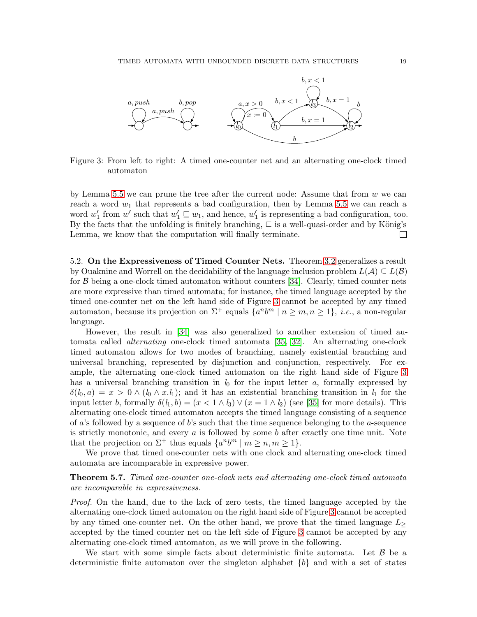

<span id="page-18-0"></span>Figure 3: From left to right: A timed one-counter net and an alternating one-clock timed automaton

by Lemma [5.5](#page-17-0) we can prune the tree after the current node: Assume that from  $w$  we can reach a word  $w_1$  that represents a bad configuration, then by Lemma [5.5](#page-17-0) we can reach a word  $w'_1$  from  $w'$  such that  $w'_1 \sqsubseteq w_1$ , and hence,  $w'_1$  is representing a bad configuration, too. By the facts that the unfolding is finitely branching,  $\sqsubseteq$  is a well-quasi-order and by König's Lemma, we know that the computation will finally terminate.  $\Box$ 

5.2. On the Expressiveness of Timed Counter Nets. Theorem [3.2](#page-4-1) generalizes a result by Ouaknine and Worrell on the decidability of the language inclusion problem  $L(\mathcal{A}) \subseteq L(\mathcal{B})$ for  $\beta$  being a one-clock timed automaton without counters [\[34\]](#page-22-0). Clearly, timed counter nets are more expressive than timed automata; for instance, the timed language accepted by the timed one-counter net on the left hand side of Figure [3](#page-18-0) cannot be accepted by any timed automaton, because its projection on  $\Sigma^+$  equals  $\{a^nb^m \mid n \geq m, n \geq 1\}$ , *i.e.*, a non-regular language.

However, the result in [\[34\]](#page-22-0) was also generalized to another extension of timed automata called *alternating* one-clock timed automata [\[35,](#page-22-2) [32\]](#page-22-22). An alternating one-clock timed automaton allows for two modes of branching, namely existential branching and universal branching, represented by disjunction and conjunction, respectively. For example, the alternating one-clock timed automaton on the right hand side of Figure [3](#page-18-0) has a universal branching transition in  $l_0$  for the input letter  $a$ , formally expressed by  $\delta(l_0, a) = x > 0 \wedge (l_0 \wedge x. l_1);$  and it has an existential branching transition in  $l_1$  for the input letter b, formally  $\delta(l_1, b) = (x < 1 \wedge l_3) \vee (x = 1 \wedge l_2)$  (see [\[35\]](#page-22-2) for more details). This alternating one-clock timed automaton accepts the timed language consisting of a sequence of a's followed by a sequence of b's such that the time sequence belonging to the a-sequence is strictly monotonic, and every  $a$  is followed by some  $b$  after exactly one time unit. Note that the projection on  $\Sigma^+$  thus equals  $\{a^nb^m \mid m \ge n, m \ge 1\}.$ 

We prove that timed one-counter nets with one clock and alternating one-clock timed automata are incomparable in expressive power.

## Theorem 5.7. *Timed one-counter one-clock nets and alternating one-clock timed automata are incomparable in expressiveness.*

*Proof.* On the hand, due to the lack of zero tests, the timed language accepted by the alternating one-clock timed automaton on the right hand side of Figure [3](#page-18-0) cannot be accepted by any timed one-counter net. On the other hand, we prove that the timed language  $L$ accepted by the timed counter net on the left side of Figure [3](#page-18-0) cannot be accepted by any alternating one-clock timed automaton, as we will prove in the following.

We start with some simple facts about deterministic finite automata. Let  $\beta$  be a deterministic finite automaton over the singleton alphabet  ${b}$  and with a set of states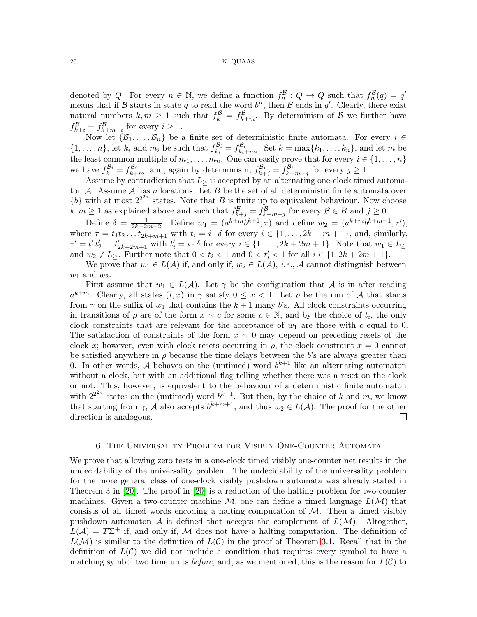denoted by Q. For every  $n \in \mathbb{N}$ , we define a function  $f_n^{\mathcal{B}}: Q \to Q$  such that  $f_n^{\mathcal{B}}(q) = q'$ means that if B starts in state q to read the word  $b<sup>n</sup>$ , then B ends in q'. Clearly, there exist natural numbers  $k, m \geq 1$  such that  $f_k^{\mathcal{B}} = f_{k+m}^{\mathcal{B}}$ . By determinism of  $\mathcal{B}$  we further have  $f_{k+i}^{\mathcal{B}} = f_{k+m+i}^{\mathcal{B}}$  for every  $i \geq 1$ .

Now let  $\{\mathcal{B}_1,\ldots,\mathcal{B}_n\}$  be a finite set of deterministic finite automata. For every  $i \in$  $\{1,\ldots,n\}$ , let  $k_i$  and  $m_i$  be such that  $f_{k_i}^{\mathcal{B}_i}$  $f_{k_i}^{\mathcal{B}_i} = f_{k_i}^{\mathcal{B}_i}$  $\mathcal{L}_{k_i+m_i}^{b_i}$ . Set  $k = \max\{k_1,\ldots,k_n\}$ , and let m be the least common multiple of  $m_1, \ldots, m_n$ . One can easily prove that for every  $i \in \{1, \ldots, n\}$ we have  $f_k^{\mathcal{B}_i} = f_{k+m}^{\mathcal{B}_i}$ , and, again by determinism,  $f_{k+j}^{\mathcal{B}_i} = f_{k+m+j}^{\mathcal{B}_i}$  for every  $j \geq 1$ .

Assume by contradiction that  $L_{\geq}$  is accepted by an alternating one-clock timed automaton A. Assume A has n locations. Let B be the set of all deterministic finite automata over  ${b}$  with at most  $2^{2^{2n}}$  states. Note that B is finite up to equivalent behaviour. Now choose  $k, m \geq 1$  as explained above and such that  $f_{k+j}^{\mathcal{B}} = f_{k+m+j}^{\mathcal{B}}$  for every  $\mathcal{B} \in B$  and  $j \geq 0$ .

Define  $\delta = \frac{1}{2k+2m+2}$ . Define  $w_1 = (a^{k+m}b^{k+1}, \tau)$  and define  $w_2 = (a^{k+m}b^{k+m+1}, \tau')$ , where  $\tau = t_1t_2 \dots t_{2k+m+1}$  with  $t_i = i \cdot \delta$  for every  $i \in \{1, \dots, 2k+m+1\}$ , and, similarly,  $\tau' = t'_1 t'_2 \dots t'_{2k+2m+1}$  with  $t'_i = i \cdot \delta$  for every  $i \in \{1, \dots, 2k+2m+1\}$ . Note that  $w_1 \in L_{\geq}$ and  $w_2 \notin L_{\geq}$ . Further note that  $0 < t_i < 1$  and  $0 < t'_i < 1$  for all  $i \in \{1, 2k + 2m + 1\}$ .

We prove that  $w_1 \in L(\mathcal{A})$  if, and only if,  $w_2 \in L(\mathcal{A})$ , *i.e.*, A cannot distinguish between  $w_1$  and  $w_2$ .

First assume that  $w_1 \in L(\mathcal{A})$ . Let  $\gamma$  be the configuration that A is in after reading  $a^{k+m}$ . Clearly, all states  $(l, x)$  in  $\gamma$  satisfy  $0 \leq x < 1$ . Let  $\rho$  be the run of A that starts from  $\gamma$  on the suffix of  $w_1$  that contains the  $k+1$  many b's. All clock constraints occurring in transitions of  $\rho$  are of the form  $x \sim c$  for some  $c \in \mathbb{N}$ , and by the choice of  $t_i$ , the only clock constraints that are relevant for the acceptance of  $w_1$  are those with c equal to 0. The satisfaction of constraints of the form  $x \sim 0$  may depend on preceding resets of the clock x; however, even with clock resets occurring in  $\rho$ , the clock constraint  $x = 0$  cannot be satisfied anywhere in  $\rho$  because the time delays between the b's are always greater than 0. In other words, A behaves on the (untimed) word  $b^{k+1}$  like an alternating automaton without a clock, but with an additional flag telling whether there was a reset on the clock or not. This, however, is equivalent to the behaviour of a deterministic finite automaton with  $2^{2^{2n}}$  states on the (untimed) word  $b^{k+1}$ . But then, by the choice of k and m, we know that starting from  $\gamma$ , A also accepts  $b^{k+m+1}$ , and thus  $w_2 \in L(\mathcal{A})$ . The proof for the other direction is analogous.  $\Box$ 

#### 6. The Universality Problem for Visibly One-Counter Automata

We prove that allowing zero tests in a one-clock timed visibly one-counter net results in the undecidability of the universality problem. The undecidability of the universality problem for the more general class of one-clock visibly pushdown automata was already stated in Theorem 3 in [\[20\]](#page-22-5). The proof in [\[20\]](#page-22-5) is a reduction of the halting problem for two-counter machines. Given a two-counter machine  $\mathcal{M}$ , one can define a timed language  $L(\mathcal{M})$  that consists of all timed words encoding a halting computation of  $M$ . Then a timed visibly pushdown automaton A is defined that accepts the complement of  $L(\mathcal{M})$ . Altogether,  $L(\mathcal{A}) = T\Sigma^+$  if, and only if, M does not have a halting computation. The definition of  $L(\mathcal{M})$  is similar to the definition of  $L(\mathcal{C})$  in the proof of Theorem [3.1.](#page-4-0) Recall that in the definition of  $L(\mathcal{C})$  we did not include a condition that requires every symbol to have a matching symbol two time units *before*, and, as we mentioned, this is the reason for  $L(\mathcal{C})$  to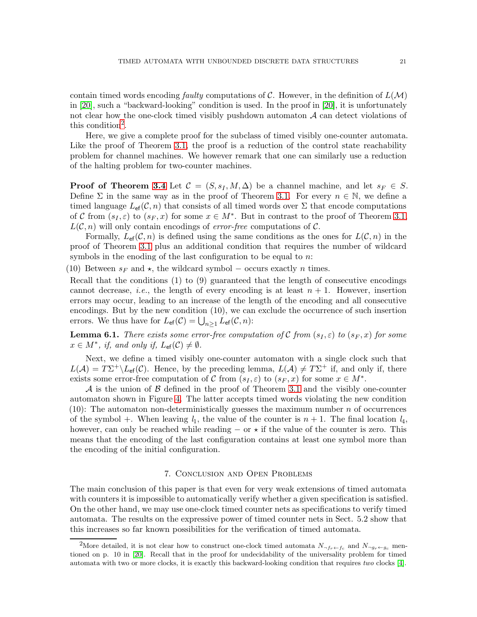contain timed words encoding *faulty* computations of C. However, in the definition of  $L(\mathcal{M})$ in [\[20\]](#page-22-5), such a "backward-looking" condition is used. In the proof in [\[20\]](#page-22-5), it is unfortunately not clear how the one-clock timed visibly pushdown automaton  $A$  can detect violations of this condition<sup>[2](#page-20-0)</sup>.

Here, we give a complete proof for the subclass of timed visibly one-counter automata. Like the proof of Theorem [3.1,](#page-4-0) the proof is a reduction of the control state reachability problem for channel machines. We however remark that one can similarly use a reduction of the halting problem for two-counter machines.

**Proof of Theorem [3.4](#page-4-3)** Let  $\mathcal{C} = (S, s_I, M, \Delta)$  be a channel machine, and let  $s_F \in S$ . Define  $\Sigma$  in the same way as in the proof of Theorem [3.1.](#page-4-0) For every  $n \in \mathbb{N}$ , we define a timed language  $L_{\text{ef}}(\mathcal{C}, n)$  that consists of all timed words over  $\Sigma$  that encode computations of C from  $(s_I, \varepsilon)$  to  $(s_F, x)$  for some  $x \in M^*$ . But in contrast to the proof of Theorem [3.1,](#page-4-0)  $L(\mathcal{C}, n)$  will only contain encodings of *error-free* computations of  $\mathcal{C}$ .

Formally,  $L_{\text{ef}}(\mathcal{C}, n)$  is defined using the same conditions as the ones for  $L(\mathcal{C}, n)$  in the proof of Theorem [3.1](#page-4-0) plus an additional condition that requires the number of wildcard symbols in the enoding of the last configuration to be equal to  $n$ .

(10) Between  $s_F$  and  $\star$ , the wildcard symbol – occurs exactly n times.

Recall that the conditions  $(1)$  to  $(9)$  guaranteed that the length of consecutive encodings cannot decrease, *i.e.*, the length of every encoding is at least  $n + 1$ . However, insertion errors may occur, leading to an increase of the length of the encoding and all consecutive encodings. But by the new condition (10), we can exclude the occurrence of such insertion errors. We thus have for  $L_{\text{ef}}(\mathcal{C}) = \bigcup_{n \geq 1} L_{\text{ef}}(\mathcal{C}, n)$ :

**Lemma 6.1.** *There exists some error-free computation of* C *from*  $(s_I, \varepsilon)$  *to*  $(s_F, x)$  *for some*  $x \in M^*$ , if, and only if,  $L_{\text{ef}}(\mathcal{C}) \neq \emptyset$ .

Next, we define a timed visibly one-counter automaton with a single clock such that  $L(\mathcal{A}) = T\Sigma^+ \backslash L_{\text{ef}}(\mathcal{C})$ . Hence, by the preceding lemma,  $L(\mathcal{A}) \neq T\Sigma^+$  if, and only if, there exists some error-free computation of C from  $(s_I, \varepsilon)$  to  $(s_F, x)$  for some  $x \in M^*$ .

 $\mathcal A$  is the union of  $\mathcal B$  defined in the proof of Theorem [3.1](#page-4-0) and the visibly one-counter automaton shown in Figure [4.](#page-21-11) The latter accepts timed words violating the new condition  $(10)$ : The automaton non-deterministically guesses the maximum number n of occurrences of the symbol +. When leaving  $l_1$ , the value of the counter is  $n + 1$ . The final location  $l_4$ , however, can only be reached while reading  $-$  or  $\star$  if the value of the counter is zero. This means that the encoding of the last configuration contains at least one symbol more than the encoding of the initial configuration.

## 7. Conclusion and Open Problems

The main conclusion of this paper is that even for very weak extensions of timed automata with counters it is impossible to automatically verify whether a given specification is satisfied. On the other hand, we may use one-clock timed counter nets as specifications to verify timed automata. The results on the expressive power of timed counter nets in Sect. 5.2 show that this increases so far known possibilities for the verification of timed automata.

<span id="page-20-0"></span><sup>&</sup>lt;sup>2</sup>More detailed, it is not clear how to construct one-clock timed automata  $N_{\neg f_r \leftarrow f_c}$  and  $N_{\neg g_r \leftarrow g_c}$  mentioned on p. 10 in [\[20\]](#page-22-5). Recall that in the proof for undecidability of the universality problem for timed automata with two or more clocks, it is exactly this backward-looking condition that requires *two* clocks [\[4\]](#page-21-7).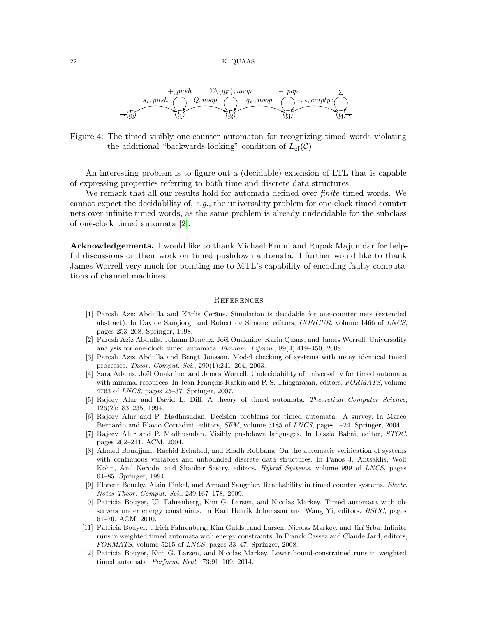

<span id="page-21-11"></span>Figure 4: The timed visibly one-counter automaton for recognizing timed words violating the additional "backwards-looking" condition of  $L_{\text{ef}}(\mathcal{C})$ .

An interesting problem is to figure out a (decidable) extension of LTL that is capable of expressing properties referring to both time and discrete data structures.

We remark that all our results hold for automata defined over *finite* timed words. We cannot expect the decidability of, *e.g.*, the universality problem for one-clock timed counter nets over infinite timed words, as the same problem is already undecidable for the subclass of one-clock timed automata [\[2\]](#page-21-5).

Acknowledgements. I would like to thank Michael Emmi and Rupak Majumdar for helpful discussions on their work on timed pushdown automata. I further would like to thank James Worrell very much for pointing me to MTL's capability of encoding faulty computations of channel machines.

### **REFERENCES**

- <span id="page-21-3"></span>[1] Parosh Aziz Abdulla and Kārlis Čerāns. Simulation is decidable for one-counter nets (extended abstract). In Davide Sangiorgi and Robert de Simone, editors, *CONCUR*, volume 1466 of *LNCS*, pages 253–268. Springer, 1998.
- <span id="page-21-5"></span>[2] Parosh Aziz Abdulla, Johann Deneux, Joël Ouaknine, Karin Quaas, and James Worrell. Universality analysis for one-clock timed automata. *Fundam. Inform.*, 89(4):419–450, 2008.
- <span id="page-21-6"></span>[3] Parosh Aziz Abdulla and Bengt Jonsson. Model checking of systems with many identical timed processes. *Theor. Comput. Sci.*, 290(1):241–264, 2003.
- <span id="page-21-7"></span>[4] Sara Adams, Joël Ouaknine, and James Worrell. Undecidability of universality for timed automata with minimal resources. In Jean-François Raskin and P. S. Thiagarajan, editors, *FORMATS*, volume 4763 of *LNCS*, pages 25–37. Springer, 2007.
- <span id="page-21-0"></span>[5] Rajeev Alur and David L. Dill. A theory of timed automata. *Theoretical Computer Science*, 126(2):183–235, 1994.
- [6] Rajeev Alur and P. Madhusudan. Decision problems for timed automata: A survey. In Marco Bernardo and Flavio Corradini, editors, *SFM*, volume 3185 of *LNCS*, pages 1–24. Springer, 2004.
- <span id="page-21-4"></span>[7] Rajeev Alur and P. Madhusudan. Visibly pushdown languages. In L´aszl´o Babai, editor, *STOC*, pages 202–211. ACM, 2004.
- <span id="page-21-1"></span>[8] Ahmed Bouajjani, Rachid Echahed, and Riadh Robbana. On the automatic verification of systems with continuous variables and unbounded discrete data structures. In Panos J. Antsaklis, Wolf Kohn, Anil Nerode, and Shankar Sastry, editors, *Hybrid Systems*, volume 999 of *LNCS*, pages 64–85. Springer, 1994.
- <span id="page-21-2"></span>[9] Florent Bouchy, Alain Finkel, and Arnaud Sangnier. Reachability in timed counter systems. *Electr. Notes Theor. Comput. Sci.*, 239:167–178, 2009.
- <span id="page-21-10"></span>[10] Patricia Bouyer, Uli Fahrenberg, Kim G. Larsen, and Nicolas Markey. Timed automata with observers under energy constraints. In Karl Henrik Johansson and Wang Yi, editors, *HSCC*, pages 61–70. ACM, 2010.
- <span id="page-21-8"></span>[11] Patricia Bouyer, Ulrich Fahrenberg, Kim Guldstrand Larsen, Nicolas Markey, and Jirí Srba. Infinite runs in weighted timed automata with energy constraints. In Franck Cassez and Claude Jard, editors, *FORMATS*, volume 5215 of *LNCS*, pages 33–47. Springer, 2008.
- <span id="page-21-9"></span>[12] Patricia Bouyer, Kim G. Larsen, and Nicolas Markey. Lower-bound-constrained runs in weighted timed automata. *Perform. Eval.*, 73:91–109, 2014.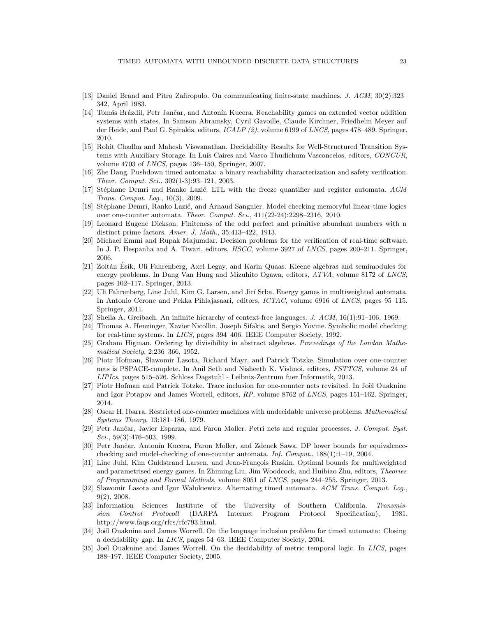- <span id="page-22-14"></span>[13] Daniel Brand and Pitro Zafiropulo. On communicating finite-state machines. *J. ACM*, 30(2):323– 342, April 1983.
- <span id="page-22-19"></span>[14] Tomás Brázdil, Petr Jančar, and Antonín Kucera. Reachability games on extended vector addition systems with states. In Samson Abramsky, Cyril Gavoille, Claude Kirchner, Friedhelm Meyer auf der Heide, and Paul G. Spirakis, editors, *ICALP (2)*, volume 6199 of *LNCS*, pages 478–489. Springer, 2010.
- <span id="page-22-13"></span>[15] Rohit Chadha and Mahesh Viswanathan. Decidability Results for Well-Structured Transition Systems with Auxiliary Storage. In Luís Caires and Vasco Thudichum Vasconcelos, editors, *CONCUR*, volume 4703 of *LNCS*, pages 136–150, Springer, 2007.
- <span id="page-22-4"></span>[16] Zhe Dang. Pushdown timed automata: a binary reachability characterization and safety verification. *Theor. Comput. Sci.*, 302(1-3):93–121, 2003.
- <span id="page-22-15"></span>[17] St´ephane Demri and Ranko Lazi´c. LTL with the freeze quantifier and register automata. *ACM Trans. Comput. Log.*, 10(3), 2009.
- <span id="page-22-6"></span>[18] Stéphane Demri, Ranko Lazić, and Arnaud Sangnier. Model checking memoryful linear-time logics over one-counter automata. *Theor. Comput. Sci.*, 411(22-24):2298–2316, 2010.
- <span id="page-22-20"></span>[19] Leonard Eugene Dickson. Finiteness of the odd perfect and primitive abundant numbers with n distinct prime factors. *Amer. J. Math.*, 35:413–422, 1913.
- <span id="page-22-5"></span>[20] Michael Emmi and Rupak Majumdar. Decision problems for the verification of real-time software. In J. P. Hespanha and A. Tiwari, editors, *HSCC*, volume 3927 of *LNCS*, pages 200–211. Springer, 2006.
- <span id="page-22-17"></span>[21] Zoltán Ésik, Uli Fahrenberg, Axel Legay, and Karin Quaas. Kleene algebras and semimodules for energy problems. In Dang Van Hung and Mizuhito Ogawa, editors, *ATVA*, volume 8172 of *LNCS*, pages 102–117. Springer, 2013.
- <span id="page-22-18"></span>[22] Uli Fahrenberg, Line Juhl, Kim G. Larsen, and Jirí Srba. Energy games in multiweighted automata. In Antonio Cerone and Pekka Pihlajasaari, editors, *ICTAC*, volume 6916 of *LNCS*, pages 95–115. Springer, 2011.
- <span id="page-22-9"></span><span id="page-22-1"></span>[23] Sheila A. Greibach. An infinite hierarchy of context-free languages. *J. ACM*, 16(1):91–106, 1969.
- [24] Thomas A. Henzinger, Xavier Nicollin, Joseph Sifakis, and Sergio Yovine. Symbolic model checking for real-time systems. In *LICS*, pages 394–406. IEEE Computer Society, 1992.
- <span id="page-22-21"></span>[25] Graham Higman. Ordering by divisibility in abstract algebras. *Proceedings of the London Mathematical Society*, 2:236–366, 1952.
- <span id="page-22-8"></span>[26] Piotr Hofman, Slawomir Lasota, Richard Mayr, and Patrick Totzke. Simulation over one-counter nets is PSPACE-complete. In Anil Seth and Nisheeth K. Vishnoi, editors, *FSTTCS*, volume 24 of *LIPIcs*, pages 515–526. Schloss Dagstuhl - Leibniz-Zentrum fuer Informatik, 2013.
- <span id="page-22-12"></span>[27] Piotr Hofman and Patrick Totzke. Trace inclusion for one-counter nets revisited. In Joël Ouaknine and Igor Potapov and James Worrell, editors, *RP*, volume 8762 of *LNCS*, pages 151–162. Springer, 2014.
- <span id="page-22-10"></span>[28] Oscar H. Ibarra. Restricted one-counter machines with undecidable universe problems. *Mathematical Systems Theory*, 13:181–186, 1979.
- <span id="page-22-11"></span>[29] Petr Jančar, Javier Esparza, and Faron Moller. Petri nets and regular processes. *J. Comput. Syst. Sci.*, 59(3):476–503, 1999.
- <span id="page-22-7"></span>[30] Petr Jančar, Antonín Kucera, Faron Moller, and Zdenek Sawa. DP lower bounds for equivalencechecking and model-checking of one-counter automata. *Inf. Comput.*, 188(1):1–19, 2004.
- <span id="page-22-16"></span>[31] Line Juhl, Kim Guldstrand Larsen, and Jean-François Raskin. Optimal bounds for multiweighted and parametrised energy games. In Zhiming Liu, Jim Woodcock, and Huibiao Zhu, editors, *Theories of Programming and Formal Methods*, volume 8051 of *LNCS*, pages 244–255. Springer, 2013.
- <span id="page-22-22"></span>[32] Slawomir Lasota and Igor Walukiewicz. Alternating timed automata. *ACM Trans. Comput. Log.*, 9(2), 2008.
- <span id="page-22-3"></span>[33] Information Sciences Institute of the University of Southern California. *Transmission Control Protocoll* (DARPA Internet Program Protocol Specification), 1981. http://www.faqs.org/rfcs/rfc793.html.
- <span id="page-22-0"></span>[34] Joël Ouaknine and James Worrell. On the language inclusion problem for timed automata: Closing a decidability gap. In *LICS*, pages 54–63. IEEE Computer Society, 2004.
- <span id="page-22-2"></span>[35] Joël Ouaknine and James Worrell. On the decidability of metric temporal logic. In *LICS*, pages 188–197. IEEE Computer Society, 2005.